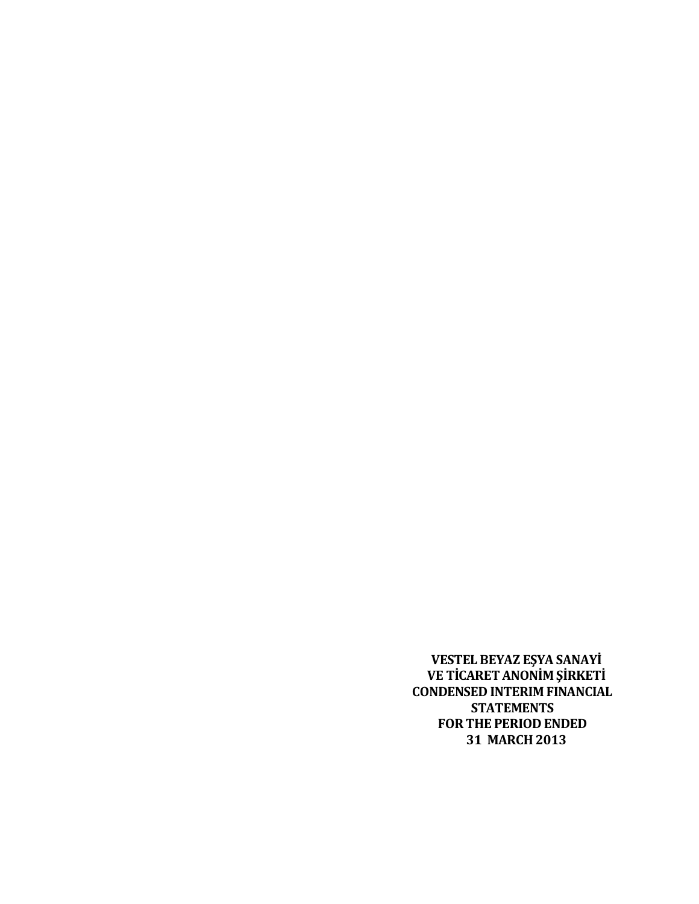**VESTEL BEYAZ EŞYA SANAYİ VE TİCARET ANONİM ŞİRKETİ CONDENSED INTERIM FINANCIAL STATEMENTS FOR THE PERIOD ENDED 31 MARCH 2013**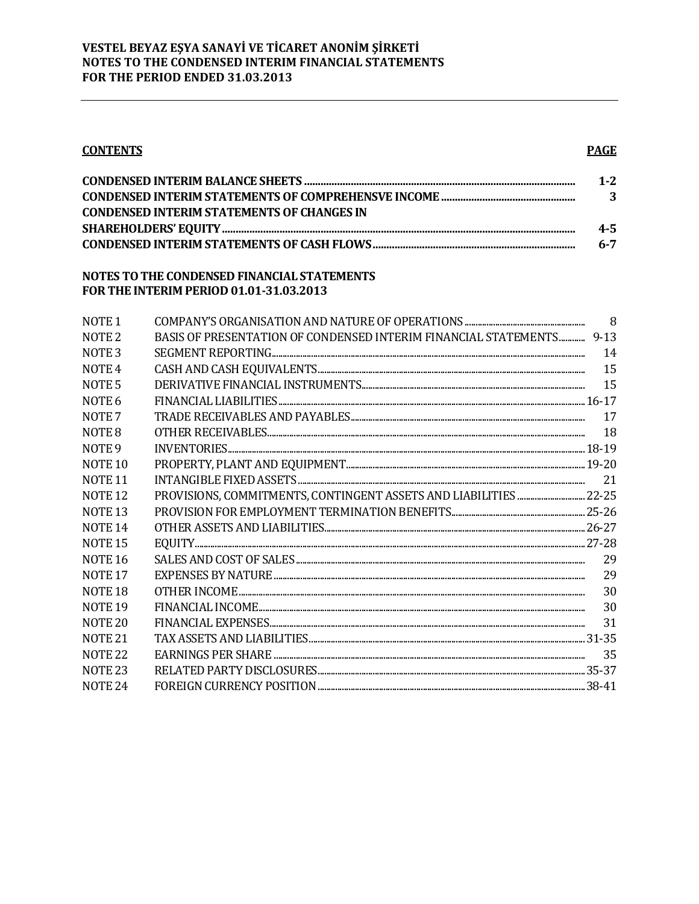# **CONTENTS**

# **PAGE**

|                                                   | $1 - 2$ |
|---------------------------------------------------|---------|
|                                                   | - 3     |
| <b>CONDENSED INTERIM STATEMENTS OF CHANGES IN</b> |         |
|                                                   | $4 - 5$ |
|                                                   | $6 - 7$ |

### NOTES TO THE CONDENSED FINANCIAL STATEMENTS FOR THE INTERIM PERIOD 01.01-31.03.2013

| NOTE <sub>1</sub>  |                                                                                                                                                                                                                                                                                                                                                                                                                                                                                                                         | 8   |
|--------------------|-------------------------------------------------------------------------------------------------------------------------------------------------------------------------------------------------------------------------------------------------------------------------------------------------------------------------------------------------------------------------------------------------------------------------------------------------------------------------------------------------------------------------|-----|
| NOTE <sub>2</sub>  | BASIS OF PRESENTATION OF CONDENSED INTERIM FINANCIAL STATEMENTS 9-13                                                                                                                                                                                                                                                                                                                                                                                                                                                    |     |
| NOTE <sub>3</sub>  |                                                                                                                                                                                                                                                                                                                                                                                                                                                                                                                         | 14  |
| NOTE <sub>4</sub>  |                                                                                                                                                                                                                                                                                                                                                                                                                                                                                                                         | 15  |
| NOTE <sub>5</sub>  |                                                                                                                                                                                                                                                                                                                                                                                                                                                                                                                         | 15  |
| NOTE <sub>6</sub>  |                                                                                                                                                                                                                                                                                                                                                                                                                                                                                                                         |     |
| NOTE <sub>7</sub>  |                                                                                                                                                                                                                                                                                                                                                                                                                                                                                                                         | 17  |
| NOTE 8             |                                                                                                                                                                                                                                                                                                                                                                                                                                                                                                                         | -18 |
| NOTE <sub>9</sub>  |                                                                                                                                                                                                                                                                                                                                                                                                                                                                                                                         |     |
| NOTE <sub>10</sub> | $\label{eq:proper} \textsc{propERTY}, \textsc{PLANT} \textsc{AND}\textsc{EQUIPMENT} \textsc{} \textsc{} \textsc{} \textsc{} \textsc{} \textsc{} \textsc{} \textsc{} \textsc{} \textsc{} \textsc{} \textsc{} \textsc{} \textsc{} \textsc{} \textsc{} \textsc{} \textsc{} \textsc{} \textsc{} \textsc{} \textsc{} \textsc{} \textsc{} \textsc{} \textsc{} \textsc{} \textsc{} \textsc{} \textsc{} \textsc$                                                                                                                |     |
| NOTE <sub>11</sub> |                                                                                                                                                                                                                                                                                                                                                                                                                                                                                                                         | 21  |
| <b>NOTE 12</b>     |                                                                                                                                                                                                                                                                                                                                                                                                                                                                                                                         |     |
| <b>NOTE 13</b>     |                                                                                                                                                                                                                                                                                                                                                                                                                                                                                                                         |     |
| NOTE <sub>14</sub> | $\begin{minipage}{0.9\linewidth} \begin{tabular}{l} \hline \textbf{OTHER ASSETS AND LIABILITIES} \end{tabular} \end{minipage} \begin{minipage}{0.9\linewidth} \begin{tabular}{l} \hline \textbf{C} & \textbf{C} \\ \hline \textbf{C} \\ \hline \textbf{C} \\ \hline \textbf{C} \\ \hline \end{tabular} \end{minipage} \begin{minipage}{0.9\linewidth} \begin{tabular}{l} \hline \textbf{C} \\ \hline \textbf{C} \\ \hline \end{tabular} \end{minipage} \begin{minipage}{0.9\linewidth} \begin{tabular}{l} \hline \text$ |     |
| <b>NOTE 15</b>     |                                                                                                                                                                                                                                                                                                                                                                                                                                                                                                                         |     |
| <b>NOTE 16</b>     |                                                                                                                                                                                                                                                                                                                                                                                                                                                                                                                         | 29  |
| NOTE <sub>17</sub> |                                                                                                                                                                                                                                                                                                                                                                                                                                                                                                                         | 29  |
| NOTE <sub>18</sub> |                                                                                                                                                                                                                                                                                                                                                                                                                                                                                                                         | 30  |
| NOTE <sub>19</sub> |                                                                                                                                                                                                                                                                                                                                                                                                                                                                                                                         | 30  |
| NOTE <sub>20</sub> |                                                                                                                                                                                                                                                                                                                                                                                                                                                                                                                         | 31  |
| NOTE <sub>21</sub> |                                                                                                                                                                                                                                                                                                                                                                                                                                                                                                                         |     |
| <b>NOTE 22</b>     |                                                                                                                                                                                                                                                                                                                                                                                                                                                                                                                         | 35  |
| NOTE <sub>23</sub> |                                                                                                                                                                                                                                                                                                                                                                                                                                                                                                                         |     |
| <b>NOTE 24</b>     |                                                                                                                                                                                                                                                                                                                                                                                                                                                                                                                         |     |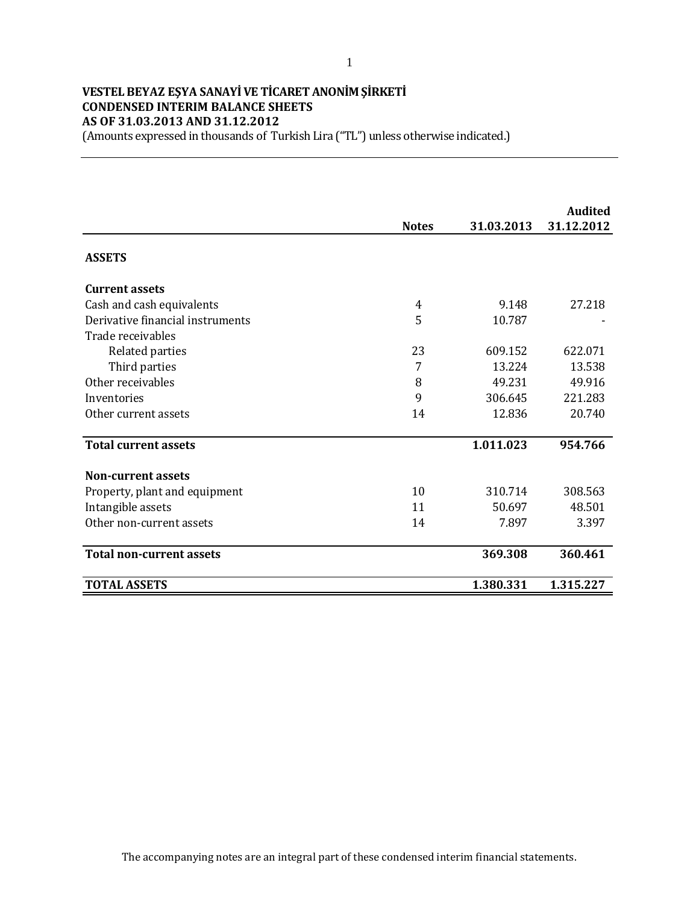# **VESTEL BEYAZ EŞYA SANAYİ VE TİCARET ANONİM ŞİRKETİ CONDENSED INTERIM BALANCE SHEETS AS OF 31.03.2013 AND 31.12.2012**

(Amounts expressed in thousands of Turkish Lira ("TL") unless otherwise indicated.)

|                                  |              |            | <b>Audited</b> |
|----------------------------------|--------------|------------|----------------|
|                                  | <b>Notes</b> | 31.03.2013 | 31.12.2012     |
| <b>ASSETS</b>                    |              |            |                |
| <b>Current assets</b>            |              |            |                |
| Cash and cash equivalents        | 4            | 9.148      | 27.218         |
| Derivative financial instruments | 5            | 10.787     |                |
| Trade receivables                |              |            |                |
| Related parties                  | 23           | 609.152    | 622.071        |
| Third parties                    | 7            | 13.224     | 13.538         |
| Other receivables                | 8            | 49.231     | 49.916         |
| Inventories                      | 9            | 306.645    | 221.283        |
| Other current assets             | 14           | 12.836     | 20.740         |
| <b>Total current assets</b>      |              | 1.011.023  | 954.766        |
| <b>Non-current assets</b>        |              |            |                |
| Property, plant and equipment    | 10           | 310.714    | 308.563        |
| Intangible assets                | 11           | 50.697     | 48.501         |
| Other non-current assets         | 14           | 7.897      | 3.397          |
| <b>Total non-current assets</b>  |              | 369.308    | 360.461        |
| <b>TOTAL ASSETS</b>              |              | 1.380.331  | 1.315.227      |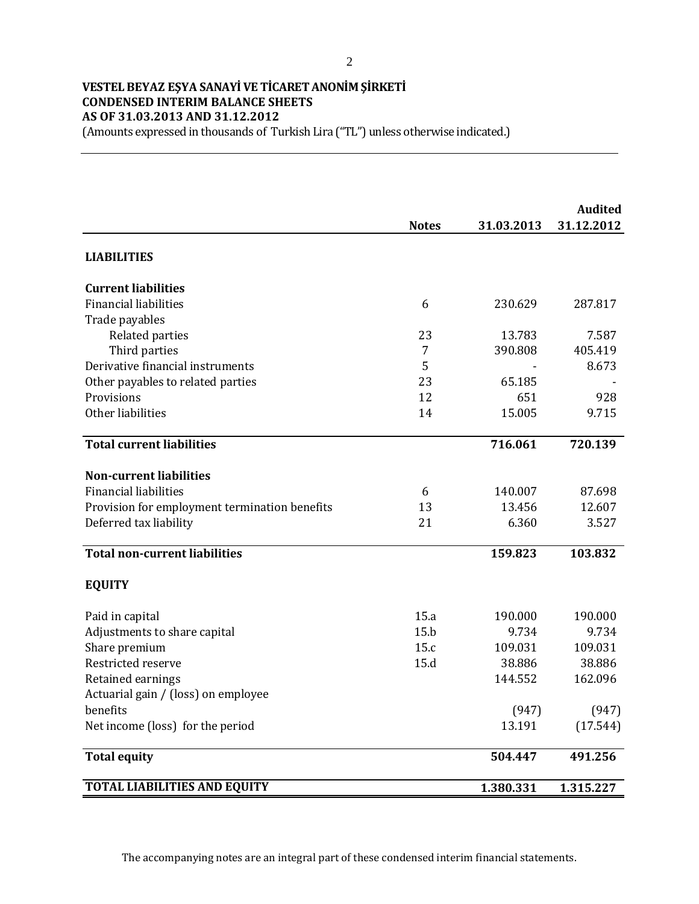### **VESTEL BEYAZ EŞYA SANAYİ VE TİCARET ANONİM ŞİRKETİ CONDENSED INTERIM BALANCE SHEETS AS OF 31.03.2013 AND 31.12.2012** (Amounts expressed in thousands of Turkish Lira ("TL") unless otherwise indicated.)

**Audited 31.03.2013 31.12.2012 LIABILITIES Current liabilities** Financial liabilities 6 230.629 287.817 Trade payables Related parties 23 13.783 7.587 Third parties 2002 101 2012 12:39 12:39 12:39 12:39 12:39 12:39 12:39 12:39 12:39 12:39 12:39 12:39 12:39 12:39 12:39 12:39 12:39 12:39 12:39 12:39 12:39 12:39 12:39 12:39 12:39 12:39 12:39 12:39 12:39 12:39 12:39 12:39 12 Derivative financial instruments and the state of the state of the state of the state of the state of the state of the state of the state of the state of the state of the state of the state of the state of the state of the Other payables to related parties 23 65.185 Provisions 651 928 Other liabilities 14 15.005 9.715 **Total current liabilities 716.061 720.139 Non-current liabilities** Financial liabilities and the set of the set of the set of the set of the set of the set of the set of the set of the set of the set of the set of the set of the set of the set of the set of the set of the set of the set o Provision for employment termination benefits 13 13.456 12.607 Deferred tax liability 100 and 21 6.360 3.527 **Total non-current liabilities 159.823 103.832 EQUITY** Paid in capital 15.a 190.000 190.000 190.000 190.000 190.000 190.000 190.000 190.000 190.000 190.000 190.000 1 Adjustments to share capital 15.b 9.734 9.734 9.734 Share premium 15.c 109.031 109.031 109.031 Restricted reserve 15.d 38.886 38.886 Retained earnings 144.552 162.096 Actuarial gain / (loss) on employee benefits (947) (947) Net income (loss) for the period 13.191 (17.544) **Total equity 504.447 491.256 TOTAL LIABILITIES AND EQUITY** 1.380.331 1.315.227 **Notes**

The accompanying notes are an integral part of these condensed interim financial statements.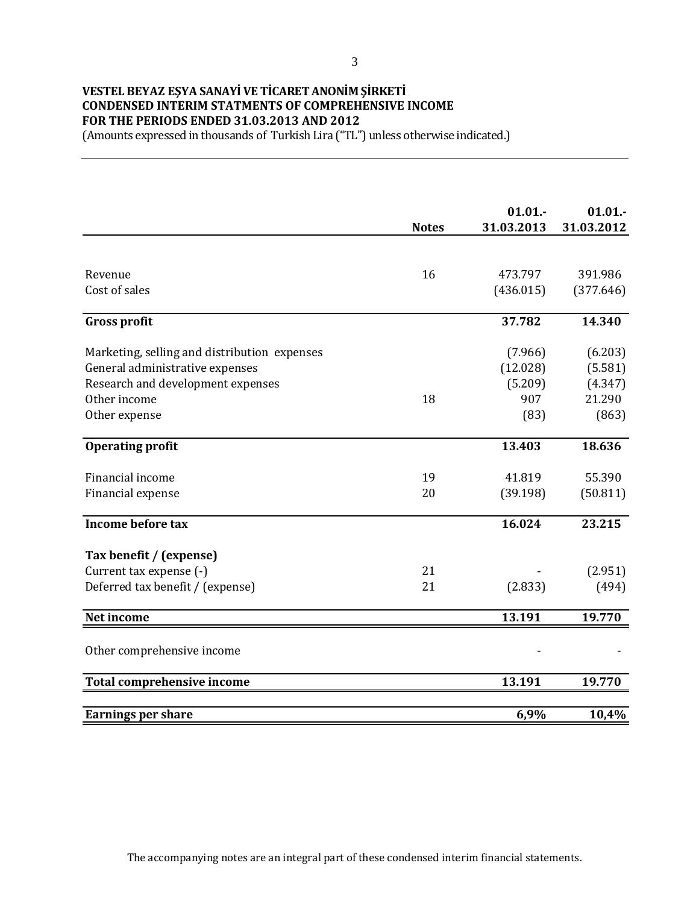# **VESTEL BEYAZ EŞYA SANAYİ VE TİCARET ANONİM ŞİRKETİ CONDENSED INTERIM STATMENTS OF COMPREHENSIVE INCOME FOR THE PERIODS ENDED 31.03.2013 AND 2012**

(Amounts expressed in thousands of Turkish Lira ("TL") unless otherwise indicated.)

|                                              | <b>Notes</b> | 01.01.<br>31.03.2013 | 01.01.<br>31.03.2012 |
|----------------------------------------------|--------------|----------------------|----------------------|
|                                              |              |                      |                      |
| Revenue                                      | 16           | 473.797              | 391.986              |
| Cost of sales                                |              | (436.015)            | (377.646)            |
| <b>Gross profit</b>                          |              | 37.782               | 14.340               |
| Marketing, selling and distribution expenses |              | (7.966)              | (6.203)              |
| General administrative expenses              |              | (12.028)             | (5.581)              |
| Research and development expenses            |              | (5.209)              | (4.347)              |
| Other income                                 | 18           | 907                  | 21.290               |
| Other expense                                |              | (83)                 | (863)                |
| <b>Operating profit</b>                      |              | 13.403               | 18.636               |
| Financial income                             | 19           | 41.819               | 55.390               |
| Financial expense                            | 20           | (39.198)             | (50.811)             |
| Income before tax                            |              | 16.024               | 23.215               |
| Tax benefit / (expense)                      |              |                      |                      |
| Current tax expense (-)                      | 21           |                      | (2.951)              |
| Deferred tax benefit / (expense)             | 21           | (2.833)              | (494)                |
| Net income                                   |              | 13.191               | 19.770               |
|                                              |              |                      |                      |
| Other comprehensive income                   |              |                      |                      |
| <b>Total comprehensive income</b>            |              | 13.191               | 19.770               |
| <b>Earnings per share</b>                    |              | 6,9%                 | 10,4%                |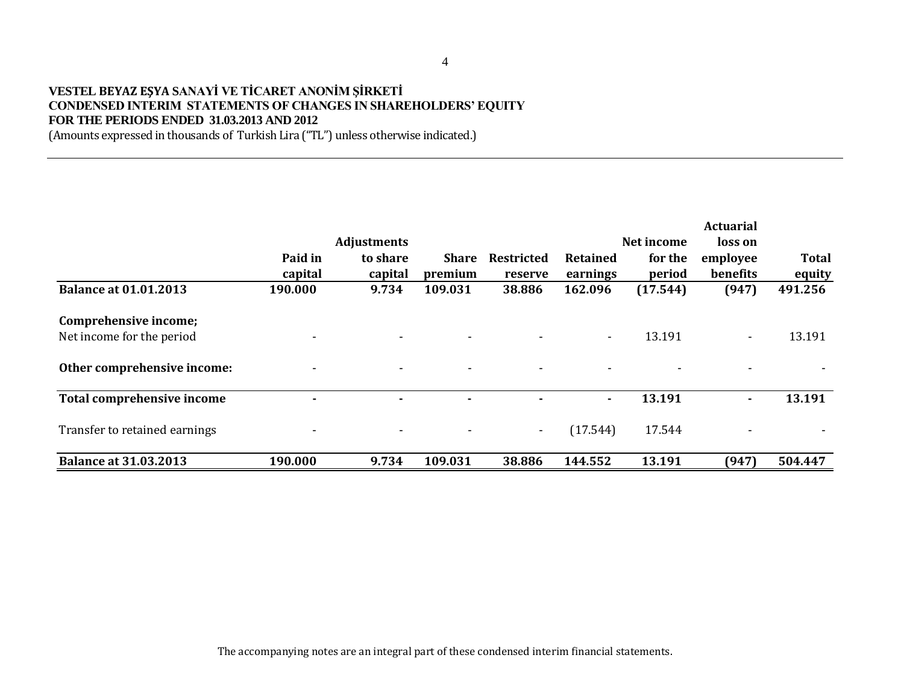### **VESTEL BEYAZ EŞYA SANAYİ VE TİCARET ANONİM ŞİRKETİ CONDENSED INTERIM STATEMENTS OF CHANGES IN SHAREHOLDERS' EQUITY FOR THE PERIODS ENDED 31.03.2013 AND 2012**

(Amounts expressed in thousands of Turkish Lira ("TL") unless otherwise indicated.)

|                                                    |                    | <b>Adjustments</b>       |                         |                          |                      | Net income        | <b>Actuarial</b><br>loss on |                        |
|----------------------------------------------------|--------------------|--------------------------|-------------------------|--------------------------|----------------------|-------------------|-----------------------------|------------------------|
|                                                    | Paid in<br>capital | to share<br>capital      | <b>Share</b><br>premium | Restricted<br>reserve    | Retained<br>earnings | for the<br>period | employee<br>benefits        | <b>Total</b><br>equity |
| <b>Balance at 01.01.2013</b>                       | 190.000            | 9.734                    | 109.031                 | 38.886                   | 162.096              | (17.544)          | (947)                       | 491.256                |
| Comprehensive income;<br>Net income for the period |                    | $\overline{\phantom{0}}$ |                         |                          | $\sim$               | 13.191            | $\sim$                      | 13.191                 |
| Other comprehensive income:                        |                    | $\overline{\phantom{0}}$ |                         | $\overline{\phantom{0}}$ |                      |                   |                             |                        |
| <b>Total comprehensive income</b>                  |                    |                          |                         |                          | ٠                    | 13.191            | ٠                           | 13.191                 |
| Transfer to retained earnings                      |                    | ٠                        |                         | $\sim$                   | (17.544)             | 17.544            |                             |                        |
| <b>Balance at 31.03.2013</b>                       | 190.000            | 9.734                    | 109.031                 | 38.886                   | 144.552              | 13.191            | (947)                       | 504.447                |

The accompanying notes are an integral part of these condensed interim financial statements.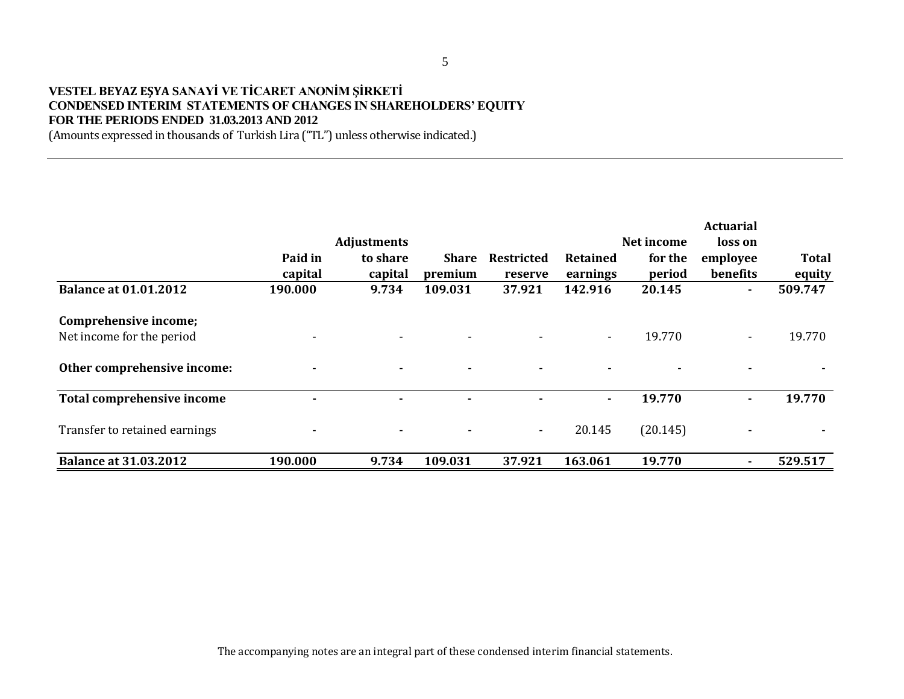### **VESTEL BEYAZ EŞYA SANAYİ VE TİCARET ANONİM ŞİRKETİ CONDENSED INTERIM STATEMENTS OF CHANGES IN SHAREHOLDERS' EQUITY FOR THE PERIODS ENDED 31.03.2013 AND 2012**

(Amounts expressed in thousands of Turkish Lira ("TL") unless otherwise indicated.)

|                                                    |                    | <b>Adjustments</b>       |                         |                              |                      | Net income        | <b>Actuarial</b><br>loss on |                        |
|----------------------------------------------------|--------------------|--------------------------|-------------------------|------------------------------|----------------------|-------------------|-----------------------------|------------------------|
|                                                    | Paid in<br>capital | to share<br>capital      | <b>Share</b><br>premium | <b>Restricted</b><br>reserve | Retained<br>earnings | for the<br>period | employee<br>benefits        | <b>Total</b><br>equity |
| <b>Balance at 01.01.2012</b>                       | 190.000            | 9.734                    | 109.031                 | 37.921                       | 142.916              | 20.145            | ۰.                          | 509.747                |
| Comprehensive income;<br>Net income for the period |                    | $\overline{\phantom{0}}$ |                         |                              | $\sim$               | 19.770            | $\sim$                      | 19.770                 |
| Other comprehensive income:                        |                    | $\overline{\phantom{0}}$ |                         | $\overline{\phantom{0}}$     |                      |                   |                             |                        |
| <b>Total comprehensive income</b>                  |                    | ۰                        |                         |                              | ۰.                   | 19.770            | ۰                           | 19.770                 |
| Transfer to retained earnings                      |                    |                          |                         | $\sim$                       | 20.145               | (20.145)          |                             |                        |
| <b>Balance at 31.03.2012</b>                       | 190.000            | 9.734                    | 109.031                 | 37.921                       | 163.061              | 19.770            |                             | 529.517                |

The accompanying notes are an integral part of these condensed interim financial statements.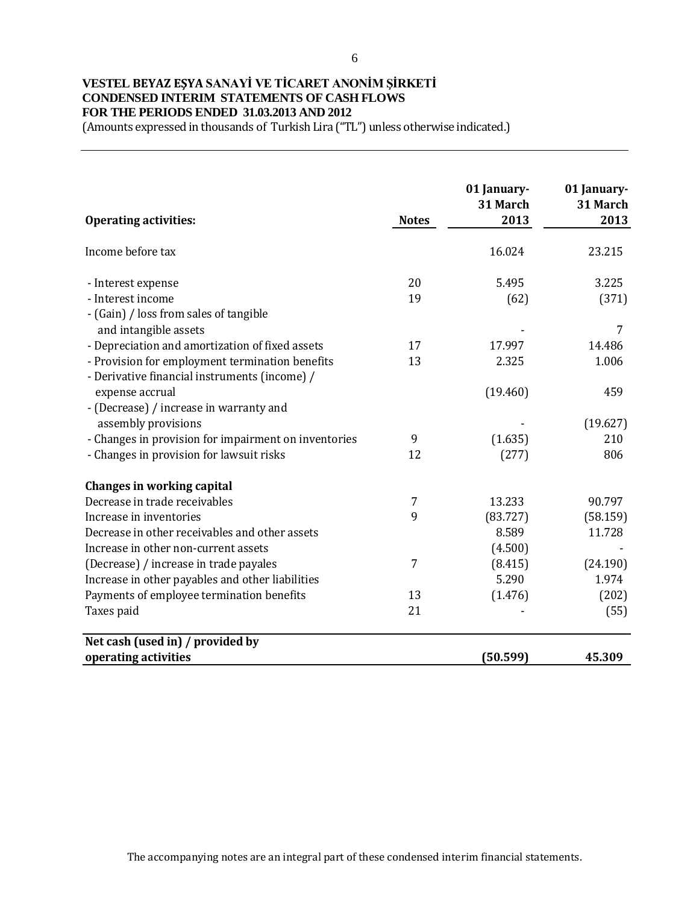# **VESTEL BEYAZ EŞYA SANAYİ VE TİCARET ANONİM ŞİRKETİ CONDENSED INTERIM STATEMENTS OF CASH FLOWS FOR THE PERIODS ENDED 31.03.2013 AND 2012**

(Amounts expressed in thousands of Turkish Lira ("TL") unless otherwise indicated.)

|                                                      |              | 01 January-<br>31 March | 01 January-<br>31 March |
|------------------------------------------------------|--------------|-------------------------|-------------------------|
| <b>Operating activities:</b>                         | <b>Notes</b> | 2013                    | 2013                    |
| Income before tax                                    |              | 16.024                  | 23.215                  |
| - Interest expense                                   | 20           | 5.495                   | 3.225                   |
| - Interest income                                    | 19           | (62)                    | (371)                   |
| - (Gain) / loss from sales of tangible               |              |                         |                         |
| and intangible assets                                |              |                         | 7                       |
| - Depreciation and amortization of fixed assets      | 17           | 17.997                  | 14.486                  |
| - Provision for employment termination benefits      | 13           | 2.325                   | 1.006                   |
| - Derivative financial instruments (income) /        |              |                         |                         |
| expense accrual                                      |              | (19.460)                | 459                     |
| - (Decrease) / increase in warranty and              |              |                         |                         |
| assembly provisions                                  |              |                         | (19.627)                |
| - Changes in provision for impairment on inventories | 9            | (1.635)                 | 210                     |
| - Changes in provision for lawsuit risks             | 12           | (277)                   | 806                     |
| Changes in working capital                           |              |                         |                         |
| Decrease in trade receivables                        | 7            | 13.233                  | 90.797                  |
| Increase in inventories                              | 9            | (83.727)                | (58.159)                |
| Decrease in other receivables and other assets       |              | 8.589                   | 11.728                  |
| Increase in other non-current assets                 |              | (4.500)                 |                         |
| (Decrease) / increase in trade payales               | 7            | (8.415)                 | (24.190)                |
| Increase in other payables and other liabilities     |              | 5.290                   | 1.974                   |
| Payments of employee termination benefits            | 13           | (1.476)                 | (202)                   |
| Taxes paid                                           | 21           |                         | (55)                    |
| Net cash (used in) / provided by                     |              |                         |                         |
| operating activities                                 |              | (50.599)                | 45.309                  |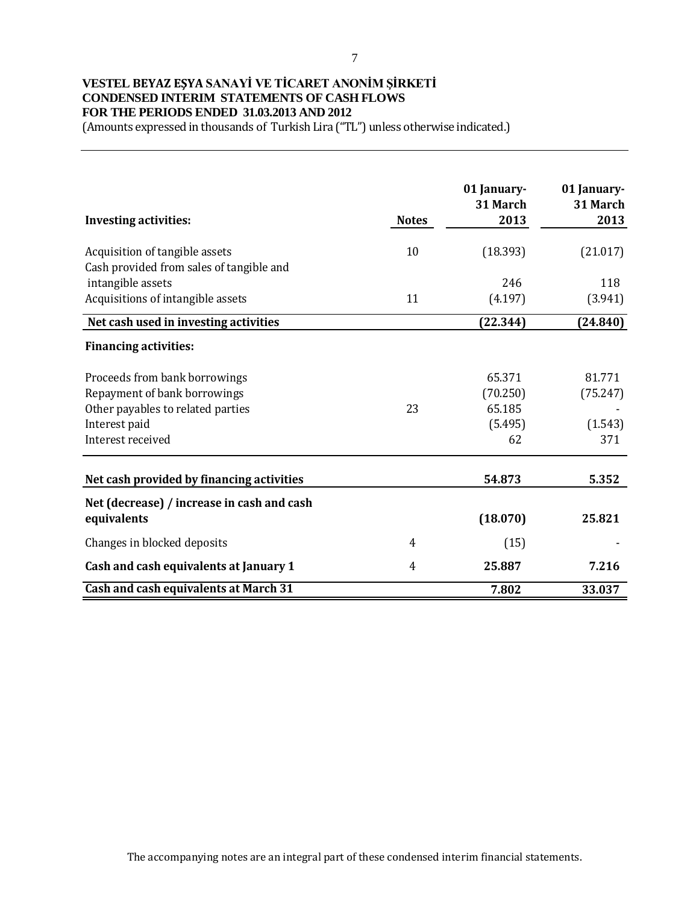### 7

# **VESTEL BEYAZ EŞYA SANAYİ VE TİCARET ANONİM ŞİRKETİ CONDENSED INTERIM STATEMENTS OF CASH FLOWS FOR THE PERIODS ENDED 31.03.2013 AND 2012**

(Amounts expressed in thousands of Turkish Lira ("TL") unless otherwise indicated.)

| <b>Investing activities:</b>                                                                       | <b>Notes</b> | 01 January-<br>31 March<br>2013 | 01 January-<br>31 March<br>2013 |
|----------------------------------------------------------------------------------------------------|--------------|---------------------------------|---------------------------------|
| Acquisition of tangible assets<br>Cash provided from sales of tangible and                         | 10           | (18.393)                        | (21.017)                        |
| intangible assets<br>Acquisitions of intangible assets                                             | 11           | 246<br>(4.197)                  | 118<br>(3.941)                  |
| Net cash used in investing activities                                                              |              | (22.344)                        | (24.840)                        |
| <b>Financing activities:</b>                                                                       |              |                                 |                                 |
| Proceeds from bank borrowings<br>Repayment of bank borrowings<br>Other payables to related parties | 23           | 65.371<br>(70.250)<br>65.185    | 81.771<br>(75.247)              |
| Interest paid<br>Interest received                                                                 |              | (5.495)<br>62                   | (1.543)<br>371                  |
| Net cash provided by financing activities                                                          |              | 54.873                          | 5.352                           |
| Net (decrease) / increase in cash and cash<br>equivalents                                          |              | (18.070)                        | 25.821                          |
| Changes in blocked deposits                                                                        | 4            | (15)                            |                                 |
| Cash and cash equivalents at January 1                                                             | 4            | 25.887                          | 7.216                           |
| <b>Cash and cash equivalents at March 31</b>                                                       |              | 7.802                           | 33.037                          |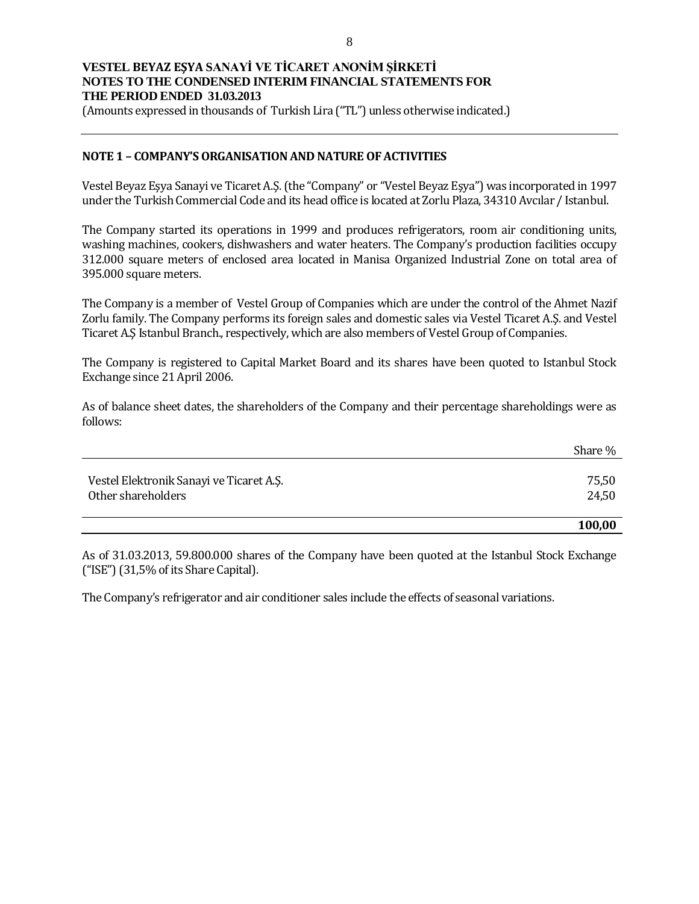(Amounts expressed in thousands of Turkish Lira ("TL") unless otherwise indicated.)

### **NOTE 1 – COMPANY'S ORGANISATION AND NATURE OF ACTIVITIES**

Vestel Beyaz Eşya Sanayi ve Ticaret A.Ş. (the "Company" or "Vestel Beyaz Eşya") was incorporated in 1997 under the Turkish Commercial Code and its head office is located at Zorlu Plaza, 34310 Avcılar / Istanbul.

The Company started its operations in 1999 and produces refrigerators, room air conditioning units, washing machines, cookers, dishwashers and water heaters. The Company's production facilities occupy 312.000 square meters of enclosed area located in Manisa Organized Industrial Zone on total area of 395.000 square meters.

The Company is a member of Vestel Group of Companies which are under the control of the Ahmet Nazif Zorlu family. The Company performs its foreign sales and domestic sales via Vestel Ticaret A.Ş. and Vestel Ticaret A.Ş Istanbul Branch., respectively, which are also members of Vestel Group of Companies.

The Company is registered to Capital Market Board and its shares have been quoted to Istanbul Stock Exchange since 21 April 2006.

As of balance sheet dates, the shareholders of the Company and their percentage shareholdings were as follows:

|                                          | Share % |
|------------------------------------------|---------|
| Vestel Elektronik Sanayi ve Ticaret A.Ş. | 75,50   |
| Other shareholders                       | 24,50   |
|                                          | 100,00  |

As of 31.03.2013, 59.800.000 shares of the Company have been quoted at the Istanbul Stock Exchange ("ISE") (31,5% of its Share Capital).

The Company's refrigerator and air conditioner sales include the effects of seasonal variations.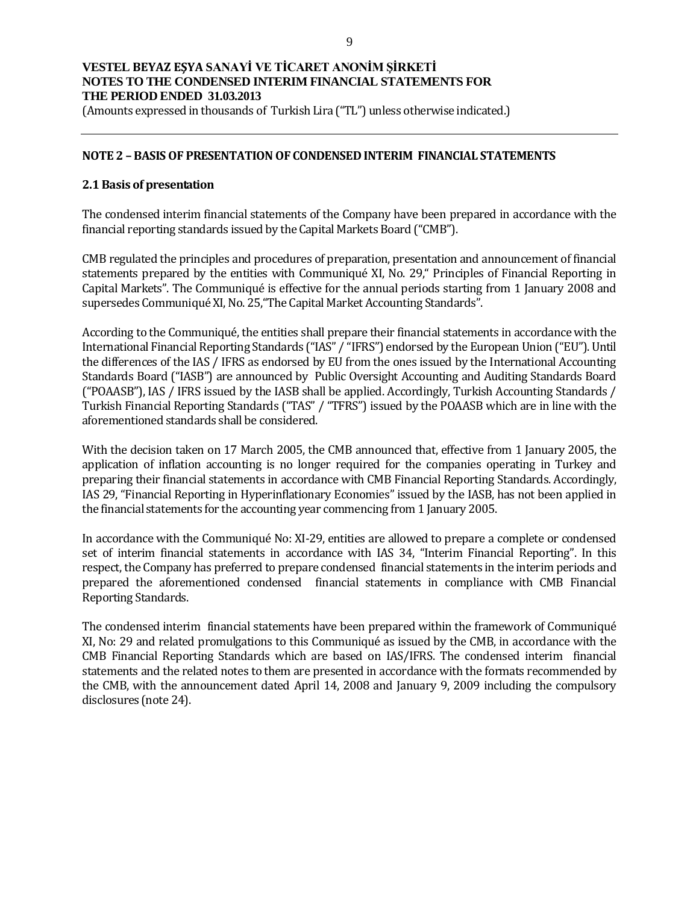(Amounts expressed in thousands of Turkish Lira ("TL") unless otherwise indicated.)

### **NOTE 2 –BASIS OF PRESENTATION OF CONDENSED INTERIM FINANCIAL STATEMENTS**

### **2.1 Basis of presentation**

The condensed interim financial statements of the Company have been prepared in accordance with the financial reporting standards issued by the Capital Markets Board ("CMB").

CMB regulated the principles and procedures of preparation, presentation and announcement of financial statements prepared by the entities with Communiqué XI, No. 29," Principles of Financial Reporting in Capital Markets". The Communiqué is effective for the annual periods starting from 1 January 2008 and supersedes Communiqué XI, No. 25,"The Capital Market Accounting Standards".

According to the Communiqué, the entities shall prepare their financial statements in accordance with the International Financial Reporting Standards ("IAS" / "IFRS") endorsed by the European Union ("EU"). Until the differences of the IAS / IFRS as endorsed by EU from the ones issued by the International Accounting Standards Board ("IASB") are announced by Public Oversight Accounting and Auditing Standards Board ("POAASB"), IAS / IFRS issued by the IASB shall be applied. Accordingly, Turkish Accounting Standards / Turkish Financial Reporting Standards ("TAS" / "TFRS") issued by the POAASB which are in line with the aforementioned standards shall be considered.

With the decision taken on 17 March 2005, the CMB announced that, effective from 1 January 2005, the application of inflation accounting is no longer required for the companies operating in Turkey and preparing their financial statements in accordance with CMB Financial Reporting Standards. Accordingly, IAS 29, "Financial Reporting in Hyperinflationary Economies" issued by the IASB, has not been applied in the financial statements for the accounting year commencing from 1 January 2005.

In accordance with the Communiqué No: XI-29, entities are allowed to prepare a complete or condensed set of interim financial statements in accordance with IAS 34, "Interim Financial Reporting". In this respect, the Company has preferred to prepare condensed financial statements in the interim periods and prepared the aforementioned condensed financial statements in compliance with CMB Financial Reporting Standards.

The condensed interim financial statements have been prepared within the framework of Communiqué XI, No: 29 and related promulgations to this Communiqué as issued by the CMB, in accordance with the CMB Financial Reporting Standards which are based on IAS/IFRS. The condensed interim financial statements and the related notes to them are presented in accordance with the formats recommended by the CMB, with the announcement dated April 14, 2008 and January 9, 2009 including the compulsory disclosures (note 24).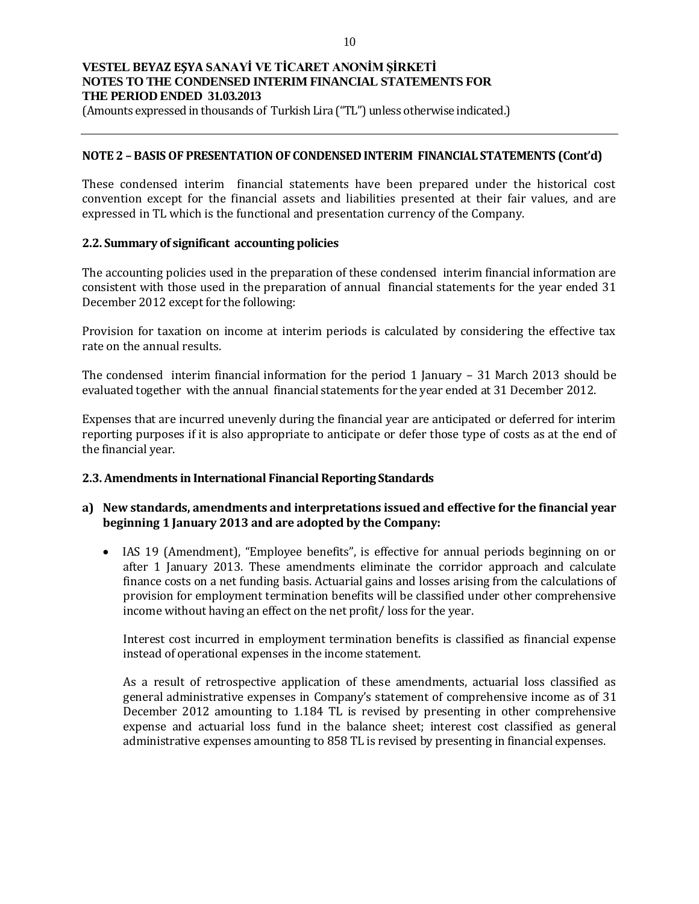(Amounts expressed in thousands of Turkish Lira ("TL") unless otherwise indicated.)

#### **NOTE 2 –BASIS OF PRESENTATION OF CONDENSED INTERIM FINANCIAL STATEMENTS (Cont'd)**

These condensed interim financial statements have been prepared under the historical cost convention except for the financial assets and liabilities presented at their fair values, and are expressed in TL which is the functional and presentation currency of the Company.

#### **2.2. Summary of significant accounting policies**

The accounting policies used in the preparation of these condensed interim financial information are consistent with those used in the preparation of annual financial statements for the year ended 31 December 2012 except for the following:

Provision for taxation on income at interim periods is calculated by considering the effective tax rate on the annual results.

The condensed interim financial information for the period 1 January – 31 March 2013 should be evaluated together with the annual financial statements for the year ended at 31 December 2012.

Expenses that are incurred unevenly during the financial year are anticipated or deferred for interim reporting purposes if it is also appropriate to anticipate or defer those type of costs as at the end of the financial year.

### **2.3. Amendments in International Financial Reporting Standards**

### **a) New standards, amendments and interpretations issued and effective for the financial year beginning 1 January 2013 and are adopted by the Company:**

• IAS 19 (Amendment), "Employee benefits", is effective for annual periods beginning on or after 1 January 2013. These amendments eliminate the corridor approach and calculate finance costs on a net funding basis. Actuarial gains and losses arising from the calculations of provision for employment termination benefits will be classified under other comprehensive income without having an effect on the net profit/ loss for the year.

Interest cost incurred in employment termination benefits is classified as financial expense instead of operational expenses in the income statement.

As a result of retrospective application of these amendments, actuarial loss classified as general administrative expenses in Company's statement of comprehensive income as of 31 December 2012 amounting to 1.184 TL is revised by presenting in other comprehensive expense and actuarial loss fund in the balance sheet; interest cost classified as general administrative expenses amounting to 858 TL is revised by presenting in financial expenses.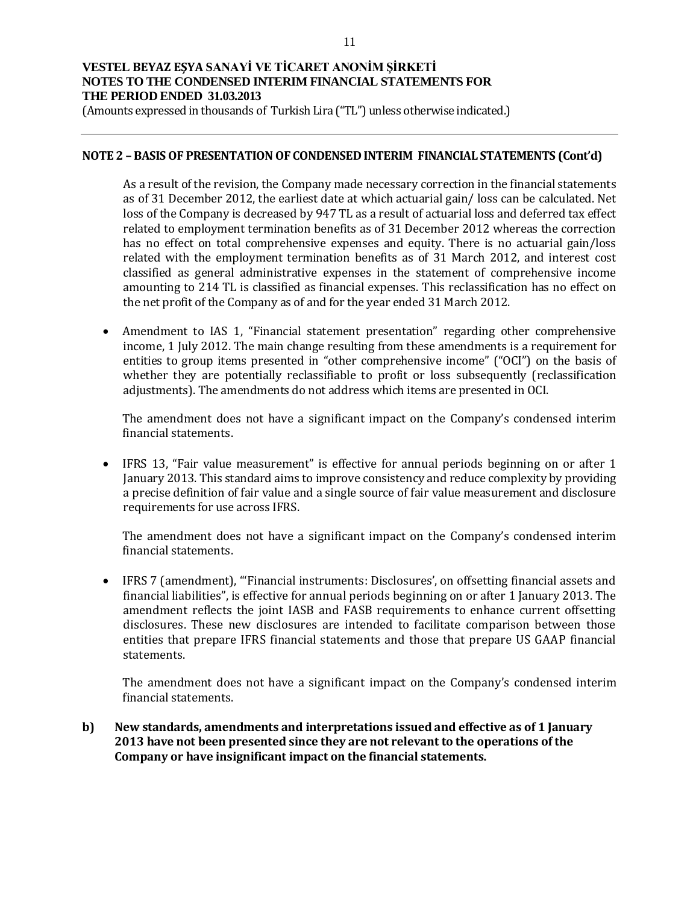(Amounts expressed in thousands of Turkish Lira ("TL") unless otherwise indicated.)

#### **NOTE 2 –BASIS OF PRESENTATION OF CONDENSED INTERIM FINANCIAL STATEMENTS (Cont'd)**

As a result of the revision, the Company made necessary correction in the financial statements as of 31 December 2012, the earliest date at which actuarial gain/ loss can be calculated. Net loss of the Company is decreased by 947 TL as a result of actuarial loss and deferred tax effect related to employment termination benefits as of 31 December 2012 whereas the correction has no effect on total comprehensive expenses and equity. There is no actuarial gain/loss related with the employment termination benefits as of 31 March 2012, and interest cost classified as general administrative expenses in the statement of comprehensive income amounting to 214 TL is classified as financial expenses. This reclassification has no effect on the net profit of the Company as of and for the year ended 31 March 2012.

 Amendment to IAS 1, "Financial statement presentation" regarding other comprehensive income, 1 July 2012. The main change resulting from these amendments is a requirement for entities to group items presented in "other comprehensive income" ("OCI") on the basis of whether they are potentially reclassifiable to profit or loss subsequently (reclassification adjustments). The amendments do not address which items are presented in OCI.

The amendment does not have a significant impact on the Company's condensed interim financial statements.

 IFRS 13, "Fair value measurement" is effective for annual periods beginning on or after 1 January 2013. This standard aims to improve consistency and reduce complexity by providing a precise definition of fair value and a single source of fair value measurement and disclosure requirements for use across IFRS.

The amendment does not have a significant impact on the Company's condensed interim financial statements.

 IFRS 7 (amendment), "'Financial instruments: Disclosures', on offsetting financial assets and financial liabilities", is effective for annual periods beginning on or after 1 January 2013. The amendment reflects the joint IASB and FASB requirements to enhance current offsetting disclosures. These new disclosures are intended to facilitate comparison between those entities that prepare IFRS financial statements and those that prepare US GAAP financial statements.

The amendment does not have a significant impact on the Company's condensed interim financial statements.

**b) New standards, amendments and interpretations issued and effective as of 1 January 2013 have not been presented since they are not relevant to the operations of the Company or have insignificant impact on the financial statements.**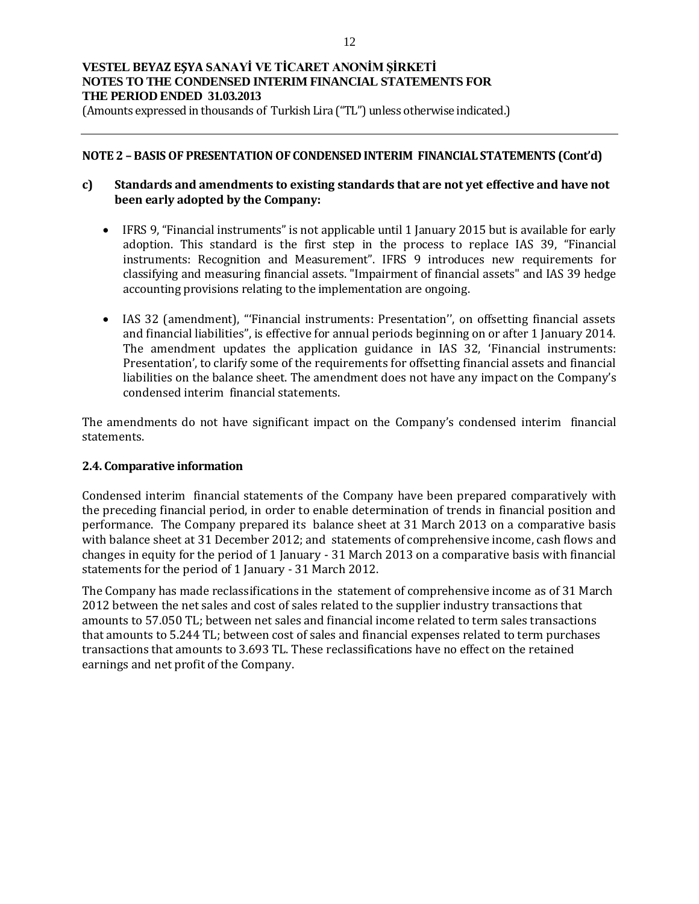(Amounts expressed in thousands of Turkish Lira ("TL") unless otherwise indicated.)

#### **NOTE 2 –BASIS OF PRESENTATION OF CONDENSED INTERIM FINANCIAL STATEMENTS (Cont'd)**

### **c) Standards and amendments to existing standards that are not yet effective and have not been early adopted by the Company:**

- IFRS 9, "Financial instruments" is not applicable until 1 January 2015 but is available for early adoption. This standard is the first step in the process to replace IAS 39, "Financial instruments: Recognition and Measurement". IFRS 9 introduces new requirements for classifying and measuring financial assets. "Impairment of financial assets" and IAS 39 hedge accounting provisions relating to the implementation are ongoing.
- IAS 32 (amendment), "'Financial instruments: Presentation", on offsetting financial assets and financial liabilities", is effective for annual periods beginning on or after 1 January 2014. The amendment updates the application guidance in IAS 32, 'Financial instruments: Presentation', to clarify some of the requirements for offsetting financial assets and financial liabilities on the balance sheet. The amendment does not have any impact on the Company's condensed interim financial statements.

The amendments do not have significant impact on the Company's condensed interim financial statements.

### **2.4. Comparative information**

Condensed interim financial statements of the Company have been prepared comparatively with the preceding financial period, in order to enable determination of trends in financial position and performance. The Company prepared its balance sheet at 31 March 2013 on a comparative basis with balance sheet at 31 December 2012; and statements of comprehensive income, cash flows and changes in equity for the period of 1 January - 31 March 2013 on a comparative basis with financial statements for the period of 1 January - 31 March 2012.

The Company has made reclassifications in the statement of comprehensive income as of 31 March 2012 between the net sales and cost of sales related to the supplier industry transactions that amounts to 57.050 TL; between net sales and financial income related to term sales transactions that amounts to 5.244 TL; between cost of sales and financial expenses related to term purchases transactions that amounts to 3.693 TL. These reclassifications have no effect on the retained earnings and net profit of the Company.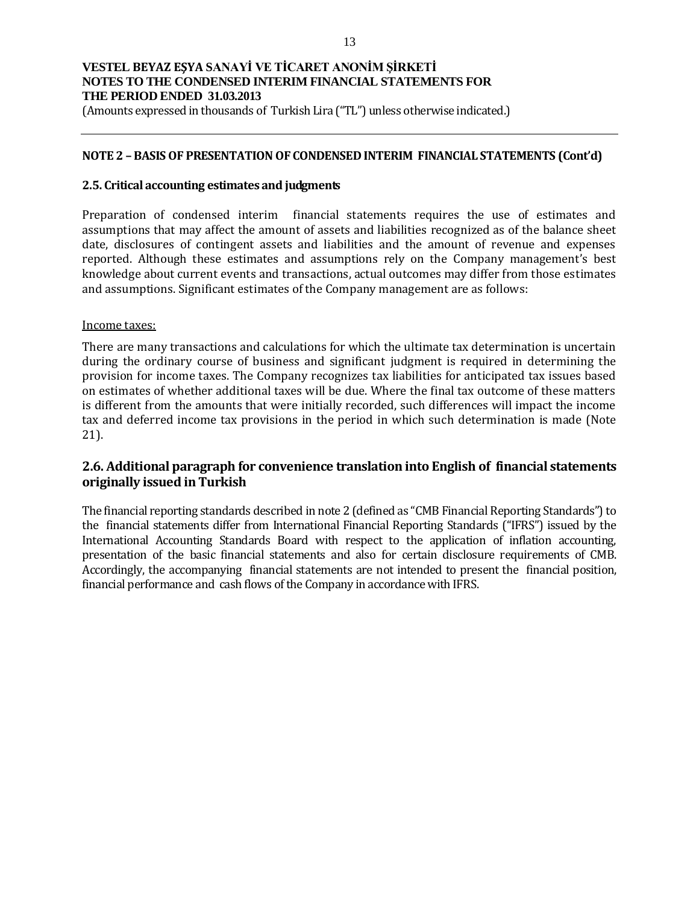(Amounts expressed in thousands of Turkish Lira ("TL") unless otherwise indicated.)

#### **NOTE 2 –BASIS OF PRESENTATION OF CONDENSED INTERIM FINANCIAL STATEMENTS (Cont'd)**

#### **2.5. Critical accounting estimates and judgments**

Preparation of condensed interim financial statements requires the use of estimates and assumptions that may affect the amount of assets and liabilities recognized as of the balance sheet date, disclosures of contingent assets and liabilities and the amount of revenue and expenses reported. Although these estimates and assumptions rely on the Company management's best knowledge about current events and transactions, actual outcomes may differ from those estimates and assumptions. Significant estimates of the Company management are as follows:

#### Income taxes:

There are many transactions and calculations for which the ultimate tax determination is uncertain during the ordinary course of business and significant judgment is required in determining the provision for income taxes. The Company recognizes tax liabilities for anticipated tax issues based on estimates of whether additional taxes will be due. Where the final tax outcome of these matters is different from the amounts that were initially recorded, such differences will impact the income tax and deferred income tax provisions in the period in which such determination is made (Note 21).

## **2.6. Additional paragraph for convenience translation into English of financial statements originally issued in Turkish**

The financial reporting standards described in note 2 (defined as "CMB Financial Reporting Standards") to the financial statements differ from International Financial Reporting Standards ("IFRS") issued by the International Accounting Standards Board with respect to the application of inflation accounting, presentation of the basic financial statements and also for certain disclosure requirements of CMB. Accordingly, the accompanying financial statements are not intended to present the financial position, financial performance and cash flows of the Company in accordance with IFRS.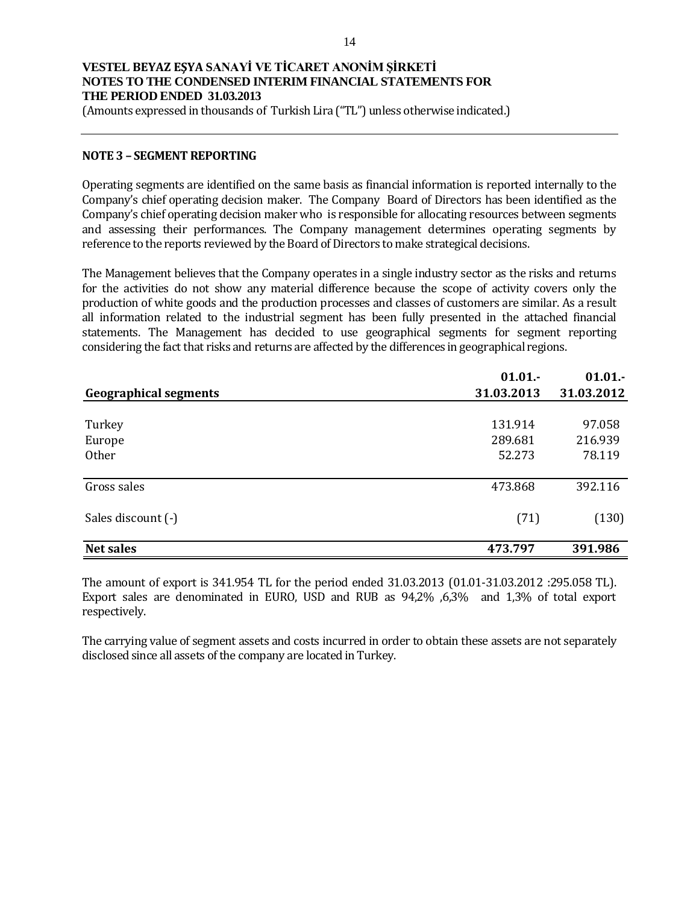(Amounts expressed in thousands of Turkish Lira ("TL") unless otherwise indicated.)

#### **NOTE 3 – SEGMENT REPORTING**

Operating segments are identified on the same basis as financial information is reported internally to the Company's chief operating decision maker. The Company Board of Directors has been identified as the Company's chief operating decision maker who is responsible for allocating resources between segments and assessing their performances. The Company management determines operating segments by reference to the reports reviewed by the Board of Directors to make strategical decisions.

The Management believes that the Company operates in a single industry sector as the risks and returns for the activities do not show any material difference because the scope of activity covers only the production of white goods and the production processes and classes of customers are similar. As a result all information related to the industrial segment has been fully presented in the attached financial statements. The Management has decided to use geographical segments for segment reporting considering the fact that risks and returns are affected by the differences in geographical regions.

|                              | 01.01.     | 01.01.     |
|------------------------------|------------|------------|
| <b>Geographical segments</b> | 31.03.2013 | 31.03.2012 |
|                              |            |            |
| Turkey                       | 131.914    | 97.058     |
| Europe                       | 289.681    | 216.939    |
| Other                        | 52.273     | 78.119     |
|                              |            |            |
| Gross sales                  | 473.868    | 392.116    |
|                              |            |            |
| Sales discount (-)           | (71)       | (130)      |
|                              |            |            |
| <b>Net sales</b>             | 473.797    | 391.986    |

The amount of export is 341.954 TL for the period ended 31.03.2013 (01.01-31.03.2012 :295.058 TL). Export sales are denominated in EURO, USD and RUB as 94,2% ,6,3% and 1,3% of total export respectively.

The carrying value of segment assets and costs incurred in order to obtain these assets are not separately disclosed since all assets of the company are located in Turkey.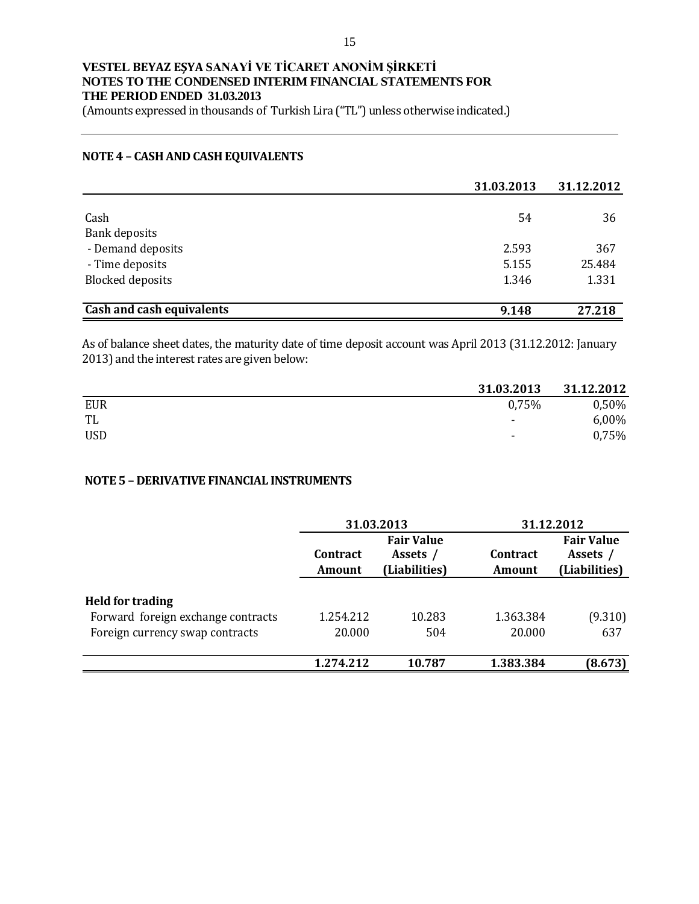(Amounts expressed in thousands of Turkish Lira ("TL") unless otherwise indicated.)

#### **NOTE 4 – CASH AND CASH EQUIVALENTS**

|                                  | 31.03.2013 | 31.12.2012 |
|----------------------------------|------------|------------|
|                                  |            |            |
| Cash                             | 54         | 36         |
| <b>Bank deposits</b>             |            |            |
| - Demand deposits                | 2.593      | 367        |
| - Time deposits                  | 5.155      | 25.484     |
| <b>Blocked deposits</b>          | 1.346      | 1.331      |
| <b>Cash and cash equivalents</b> | 9.148      | 27.218     |

As of balance sheet dates, the maturity date of time deposit account was April 2013 (31.12.2012: January 2013) and the interest rates are given below:

|            | 31.03.2013 | 31.12.2012 |
|------------|------------|------------|
| <b>EUR</b> | 0.75%      | 0,50%      |
| TL         | ۰          | 6,00%      |
| <b>USD</b> | -          | 0,75%      |

### **NOTE 5 – DERIVATIVE FINANCIAL INSTRUMENTS**

|                                                                                                  |                                                                      | 31.03.2013    |                           | 31.12.2012                                     |  |  |
|--------------------------------------------------------------------------------------------------|----------------------------------------------------------------------|---------------|---------------------------|------------------------------------------------|--|--|
|                                                                                                  | <b>Fair Value</b><br>Contract<br>Assets /<br>(Liabilities)<br>Amount |               | <b>Contract</b><br>Amount | <b>Fair Value</b><br>Assets /<br>(Liabilities) |  |  |
| <b>Held for trading</b><br>Forward foreign exchange contracts<br>Foreign currency swap contracts | 1.254.212<br>20.000                                                  | 10.283<br>504 | 1.363.384<br>20.000       | (9.310)<br>637                                 |  |  |
|                                                                                                  | 1.274.212                                                            | 10.787        | 1.383.384                 | (8.673)                                        |  |  |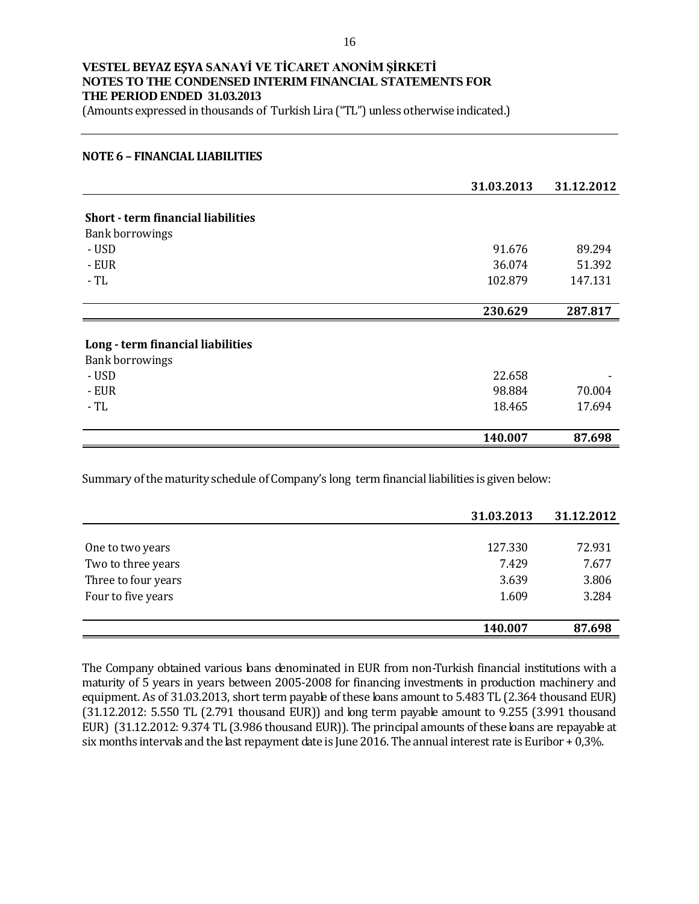(Amounts expressed in thousands of Turkish Lira ("TL") unless otherwise indicated.)

#### **NOTE 6 – FINANCIAL LIABILITIES**

|                                           | 31.03.2013 | 31.12.2012 |
|-------------------------------------------|------------|------------|
|                                           |            |            |
| <b>Short - term financial liabilities</b> |            |            |
| <b>Bank borrowings</b>                    |            |            |
| - USD                                     | 91.676     | 89.294     |
| - EUR                                     | 36.074     | 51.392     |
| $-TL$                                     | 102.879    | 147.131    |
|                                           |            |            |
|                                           | 230.629    | 287.817    |
|                                           |            |            |
| Long - term financial liabilities         |            |            |
| <b>Bank borrowings</b>                    |            |            |
| - USD                                     | 22.658     |            |
| - EUR                                     | 98.884     | 70.004     |
| $-TL$                                     | 18.465     | 17.694     |
|                                           |            |            |
|                                           | 140.007    | 87.698     |

Summary of the maturity schedule of Company's long term financial liabilities is given below:

|                     | 31.03.2013 | 31.12.2012 |
|---------------------|------------|------------|
|                     |            |            |
| One to two years    | 127.330    | 72.931     |
| Two to three years  | 7.429      | 7.677      |
| Three to four years | 3.639      | 3.806      |
| Four to five years  | 1.609      | 3.284      |
|                     |            |            |
|                     | 140.007    | 87.698     |

The Company obtained various loans denominated in EUR from non-Turkish financial institutions with a maturity of 5 years in years between 2005-2008 for financing investments in production machinery and equipment. As of 31.03.2013, short term payable of these bans amount to 5.483 TL (2.364 thousand EUR) (31.12.2012: 5.550 TL (2.791 thousand EUR)) and long term payable amount to 9.255 (3.991 thousand EUR) (31.12.2012: 9.374 TL (3.986 thousand EUR)). The principal amounts of these loans are repayable at six months intervals and the last repayment date is June 2016. The annual interest rate is Euribor + 0,3%.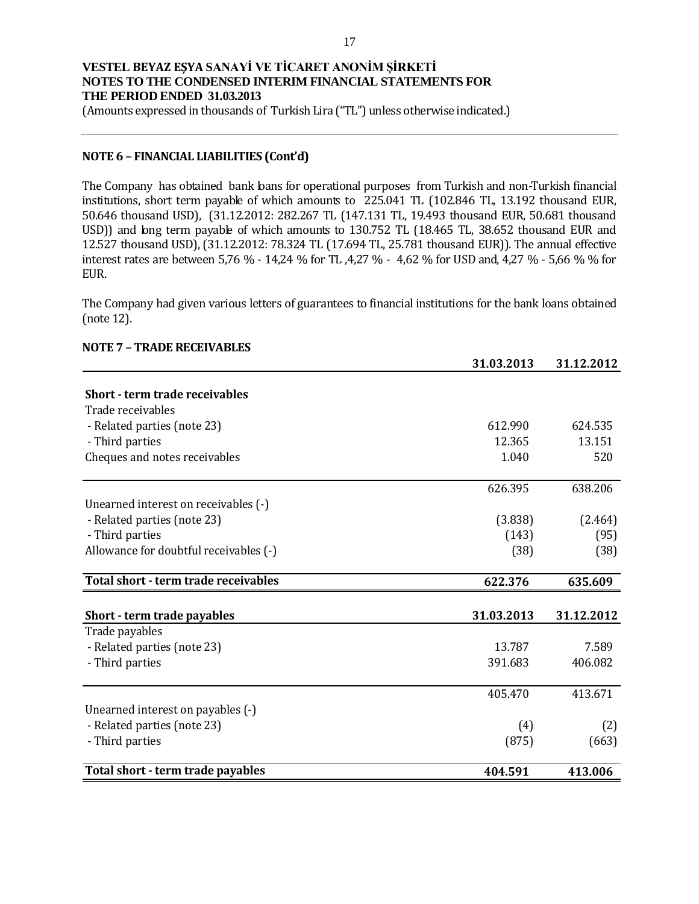(Amounts expressed in thousands of Turkish Lira ("TL") unless otherwise indicated.)

### **NOTE 6 – FINANCIAL LIABILITIES (Cont'd)**

The Company has obtained bank bans for operational purposes from Turkish and non-Turkish financial institutions, short term payable of which amounts to 225.041 TL (102.846 TL, 13.192 thousand EUR, 50.646 thousand USD), (31.12.2012: 282.267 TL (147.131 TL, 19.493 thousand EUR, 50.681 thousand USD)) and long term payable of which amounts to 130.752 TL (18.465 TL, 38.652 thousand EUR and 12.527 thousand USD), (31.12.2012: 78.324 TL (17.694 TL, 25.781 thousand EUR)). The annual effective interest rates are between 5,76 % - 14,24 % for TL ,4,27 % - 4,62 % for USD and, 4,27 % - 5,66 % % for EUR.

The Company had given various letters of guarantees to financial institutions for the bank loans obtained (note 12).

### **NOTE 7 – TRADE RECEIVABLES**

|                                        | 31.03.2013 | 31.12.2012 |
|----------------------------------------|------------|------------|
|                                        |            |            |
| <b>Short - term trade receivables</b>  |            |            |
| Trade receivables                      |            |            |
| - Related parties (note 23)            | 612.990    | 624.535    |
| - Third parties                        | 12.365     | 13.151     |
| Cheques and notes receivables          | 1.040      | 520        |
|                                        | 626.395    | 638.206    |
| Unearned interest on receivables (-)   |            |            |
| - Related parties (note 23)            | (3.838)    | (2.464)    |
| - Third parties                        | (143)      | (95)       |
| Allowance for doubtful receivables (-) | (38)       | (38)       |
| Total short - term trade receivables   | 622.376    | 635.609    |
|                                        |            |            |
| Short - term trade payables            | 31.03.2013 | 31.12.2012 |
| Trade payables                         |            |            |
| - Related parties (note 23)            | 13.787     | 7.589      |
| - Third parties                        | 391.683    | 406.082    |
|                                        | 405.470    | 413.671    |
| Unearned interest on payables (-)      |            |            |
| - Related parties (note 23)            | (4)        | (2)        |
| - Third parties                        | (875)      | (663)      |
| Total short - term trade payables      | 404.591    | 413.006    |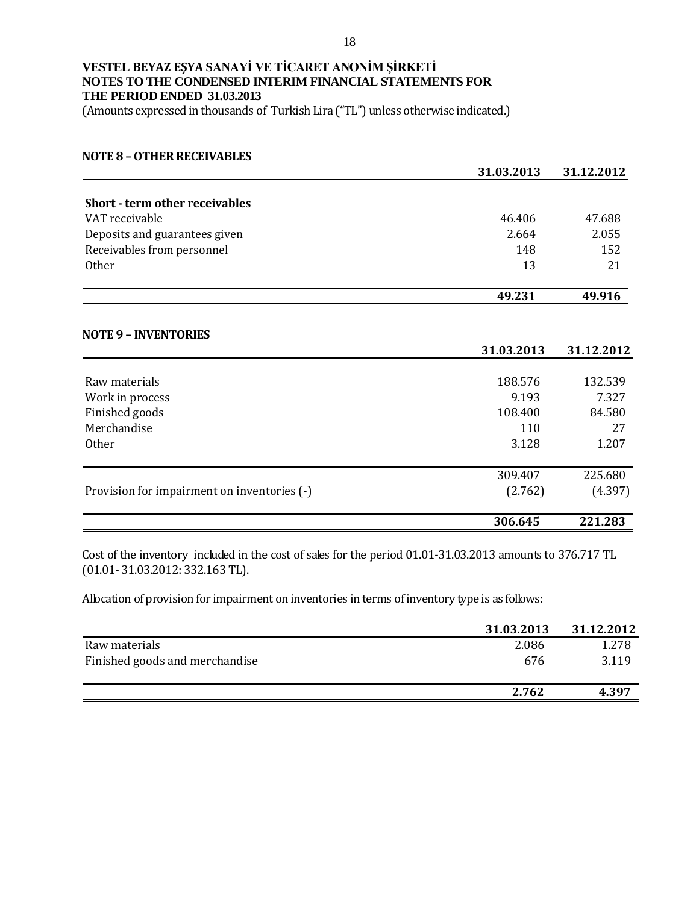(Amounts expressed in thousands of Turkish Lira ("TL") unless otherwise indicated.)

| <b>NOTE 8 - OTHER RECEIVABLES</b>           |            |            |
|---------------------------------------------|------------|------------|
|                                             | 31.03.2013 | 31.12.2012 |
| <b>Short - term other receivables</b>       |            |            |
| VAT receivable                              | 46.406     | 47.688     |
| Deposits and guarantees given               | 2.664      | 2.055      |
| Receivables from personnel                  | 148        | 152        |
| <b>Other</b>                                | 13         | 21         |
|                                             | 49.231     | 49.916     |
| <b>NOTE 9 - INVENTORIES</b>                 |            |            |
|                                             | 31.03.2013 | 31.12.2012 |
| Raw materials                               | 188.576    | 132.539    |
| Work in process                             | 9.193      | 7.327      |
| Finished goods                              | 108.400    | 84.580     |
| Merchandise                                 | 110        | 27         |
| Other                                       | 3.128      | 1.207      |
|                                             | 309.407    | 225.680    |
| Provision for impairment on inventories (-) | (2.762)    | (4.397)    |
|                                             | 306.645    | 221.283    |

Cost of the inventory included in the cost of sales for the period 01.01-31.03.2013 amounts to 376.717 TL (01.01- 31.03.2012: 332.163 TL).

Allocation of provision for impairment on inventories in terms of inventory type is as follows:

|                                | 31.03.2013 | 31.12.2012 |
|--------------------------------|------------|------------|
| Raw materials                  | 2.086      | 1.278      |
| Finished goods and merchandise | 676        | 3.119      |
|                                | 2.762      | 4.397      |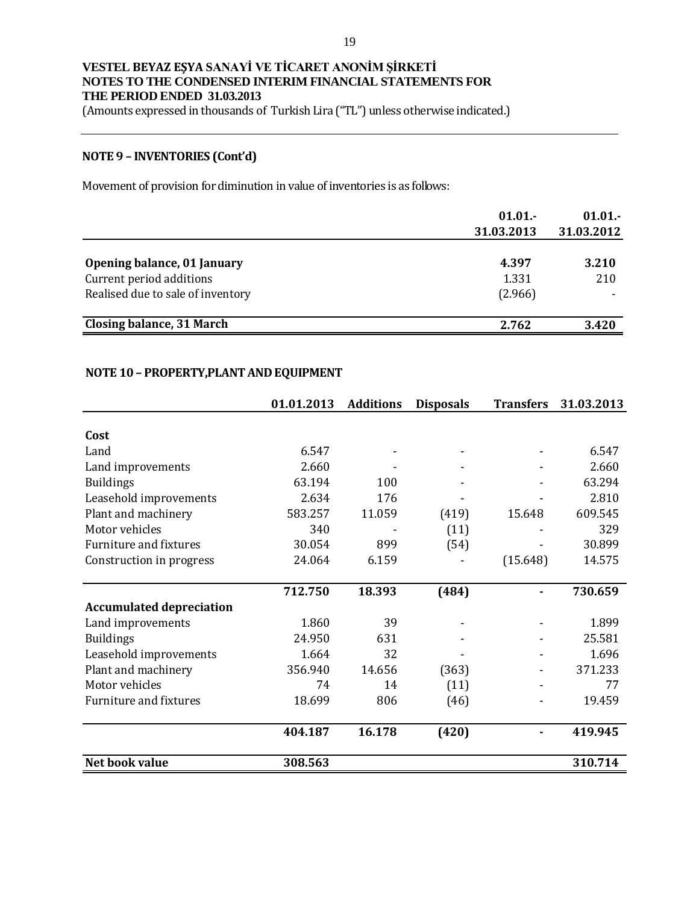(Amounts expressed in thousands of Turkish Lira ("TL") unless otherwise indicated.)

# **NOTE 9 – INVENTORIES (Cont'd)**

Movement of provision for diminution in value of inventories is as follows:

|                                   | 01.01.<br>31.03.2013 | 01.01.<br>31.03.2012 |
|-----------------------------------|----------------------|----------------------|
| Opening balance, 01 January       | 4.397                | 3.210                |
| Current period additions          | 1.331                | 210                  |
| Realised due to sale of inventory | (2.966)              |                      |
| Closing balance, 31 March         | 2.762                | 3.420                |

### **NOTE 10– PROPERTY,PLANT AND EQUIPMENT**

|                                 | 01.01.2013 | <b>Additions</b> | <b>Disposals</b> | <b>Transfers</b> | 31.03.2013 |
|---------------------------------|------------|------------------|------------------|------------------|------------|
|                                 |            |                  |                  |                  |            |
| Cost                            |            |                  |                  |                  |            |
| Land                            | 6.547      |                  |                  |                  | 6.547      |
| Land improvements               | 2.660      |                  |                  |                  | 2.660      |
| <b>Buildings</b>                | 63.194     | 100              |                  |                  | 63.294     |
| Leasehold improvements          | 2.634      | 176              |                  |                  | 2.810      |
| Plant and machinery             | 583.257    | 11.059           | (419)            | 15.648           | 609.545    |
| Motor vehicles                  | 340        |                  | (11)             |                  | 329        |
| <b>Furniture and fixtures</b>   | 30.054     | 899              | (54)             |                  | 30.899     |
| Construction in progress        | 24.064     | 6.159            |                  | (15.648)         | 14.575     |
|                                 |            |                  |                  |                  |            |
|                                 | 712.750    | 18.393           | (484)            |                  | 730.659    |
| <b>Accumulated depreciation</b> |            |                  |                  |                  |            |
| Land improvements               | 1.860      | 39               |                  |                  | 1.899      |
| <b>Buildings</b>                | 24.950     | 631              |                  |                  | 25.581     |
| Leasehold improvements          | 1.664      | 32               |                  |                  | 1.696      |
| Plant and machinery             | 356.940    | 14.656           | (363)            |                  | 371.233    |
| Motor vehicles                  | 74         | 14               | (11)             |                  | 77         |
| <b>Furniture and fixtures</b>   | 18.699     | 806              | (46)             |                  | 19.459     |
|                                 | 404.187    | 16.178           | (420)            |                  | 419.945    |
| Net book value                  | 308.563    |                  |                  |                  | 310.714    |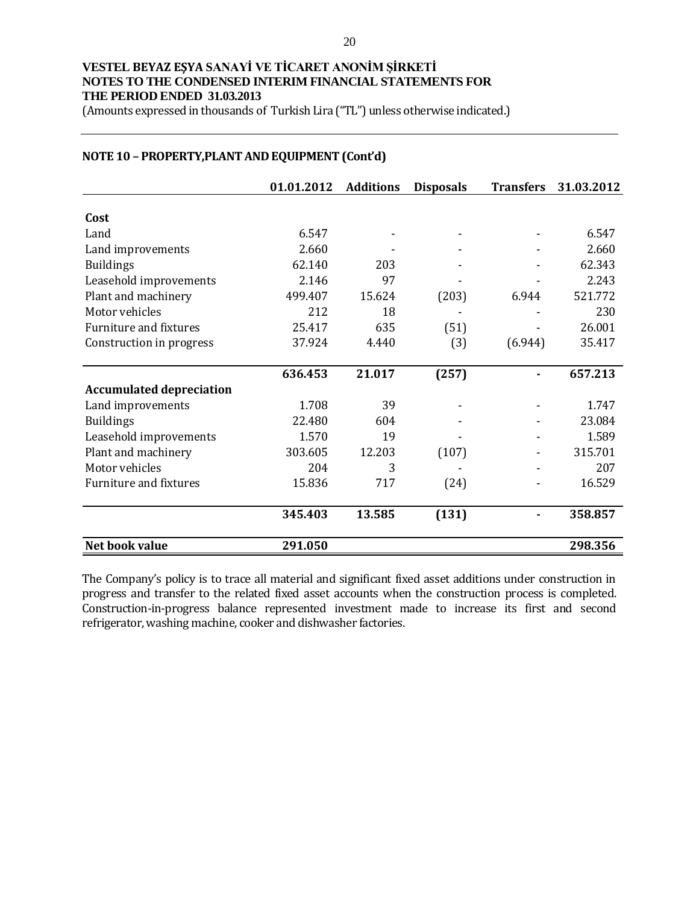(Amounts expressed in thousands of Turkish Lira ("TL") unless otherwise indicated.)

|                                 | 01.01.2012 | <b>Additions</b> | <b>Disposals</b> | <b>Transfers</b> | 31.03.2012 |
|---------------------------------|------------|------------------|------------------|------------------|------------|
| Cost                            |            |                  |                  |                  |            |
|                                 |            |                  |                  |                  |            |
| Land                            | 6.547      |                  |                  |                  | 6.547      |
| Land improvements               | 2.660      |                  |                  |                  | 2.660      |
| <b>Buildings</b>                | 62.140     | 203              |                  |                  | 62.343     |
| Leasehold improvements          | 2.146      | 97               |                  |                  | 2.243      |
| Plant and machinery             | 499.407    | 15.624           | (203)            | 6.944            | 521.772    |
| Motor vehicles                  | 212        | 18               |                  |                  | 230        |
| Furniture and fixtures          | 25.417     | 635              | (51)             |                  | 26.001     |
| Construction in progress        | 37.924     | 4.440            | (3)              | (6.944)          | 35.417     |
|                                 | 636.453    | 21.017           | (257)            |                  | 657.213    |
| <b>Accumulated depreciation</b> |            |                  |                  |                  |            |
| Land improvements               | 1.708      | 39               |                  |                  | 1.747      |
|                                 |            |                  |                  |                  |            |
| <b>Buildings</b>                | 22.480     | 604              |                  |                  | 23.084     |
| Leasehold improvements          | 1.570      | 19               |                  |                  | 1.589      |
| Plant and machinery             | 303.605    | 12.203           | (107)            |                  | 315.701    |
| Motor vehicles                  | 204        | 3                |                  |                  | 207        |
| Furniture and fixtures          | 15.836     | 717              | (24)             |                  | 16.529     |
|                                 | 345.403    | 13.585           | (131)            |                  | 358.857    |
| Net book value                  | 291.050    |                  |                  |                  | 298.356    |

### **NOTE 10 – PROPERTY,PLANT AND EQUIPMENT (Cont'd)**

The Company's policy is to trace all material and significant fixed asset additions under construction in progress and transfer to the related fixed asset accounts when the construction process is completed. Construction-in-progress balance represented investment made to increase its first and second refrigerator, washing machine, cooker and dishwasher factories.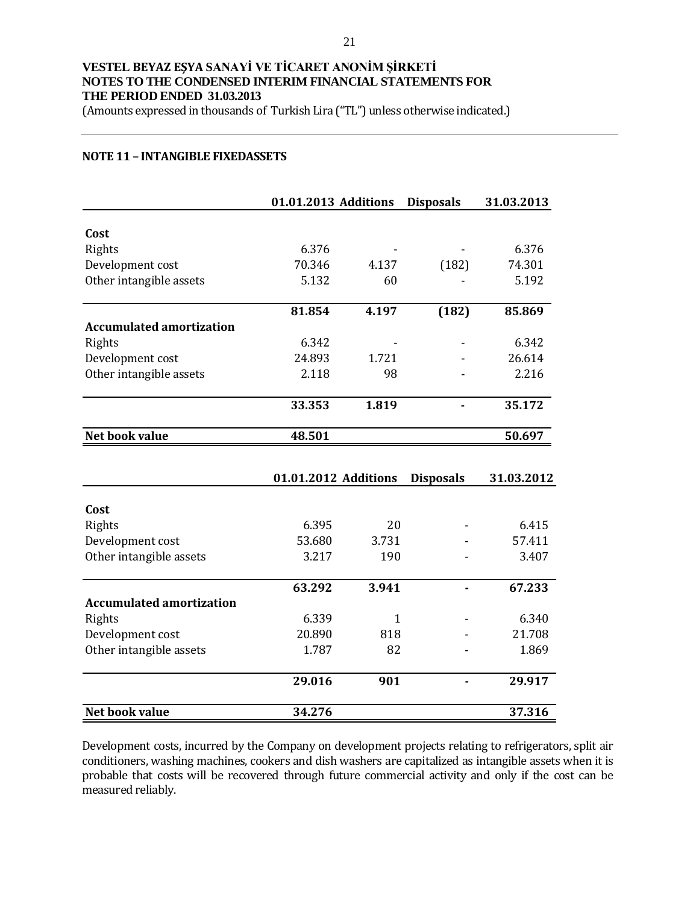(Amounts expressed in thousands of Turkish Lira ("TL") unless otherwise indicated.)

#### **NOTE 11 – INTANGIBLE FIXEDASSETS**

|                                 | 01.01.2013 Additions |              | <b>Disposals</b> | 31.03.2013 |
|---------------------------------|----------------------|--------------|------------------|------------|
| Cost                            |                      |              |                  |            |
| Rights                          | 6.376                |              |                  | 6.376      |
| Development cost                | 70.346               | 4.137        | (182)            | 74.301     |
| Other intangible assets         | 5.132                | 60           |                  | 5.192      |
|                                 | 81.854               | 4.197        | (182)            | 85.869     |
| <b>Accumulated amortization</b> |                      |              |                  |            |
| Rights                          | 6.342                |              |                  | 6.342      |
| Development cost                | 24.893               | 1.721        |                  | 26.614     |
| Other intangible assets         | 2.118                | 98           |                  | 2.216      |
|                                 | 33.353               | 1.819        |                  | 35.172     |
| Net book value                  | 48.501               |              |                  | 50.697     |
|                                 |                      |              |                  |            |
|                                 | 01.01.2012 Additions |              | <b>Disposals</b> | 31.03.2012 |
| Cost                            |                      |              |                  |            |
| Rights                          | 6.395                | 20           |                  | 6.415      |
| Development cost                | 53.680               | 3.731        |                  | 57.411     |
| Other intangible assets         | 3.217                | 190          |                  | 3.407      |
|                                 | 63.292               | 3.941        |                  | 67.233     |
| <b>Accumulated amortization</b> |                      |              |                  |            |
| Rights                          | 6.339                | $\mathbf{1}$ |                  | 6.340      |
| Development cost                | 20.890               | 818          |                  | 21.708     |
| Other intangible assets         | 1.787                | 82           |                  | 1.869      |
|                                 | 29.016               | 901          |                  | 29.917     |
| <b>Net book value</b>           | 34.276               |              |                  | 37.316     |

Development costs, incurred by the Company on development projects relating to refrigerators, split air conditioners, washing machines, cookers and dish washers are capitalized as intangible assets when it is probable that costs will be recovered through future commercial activity and only if the cost can be measured reliably.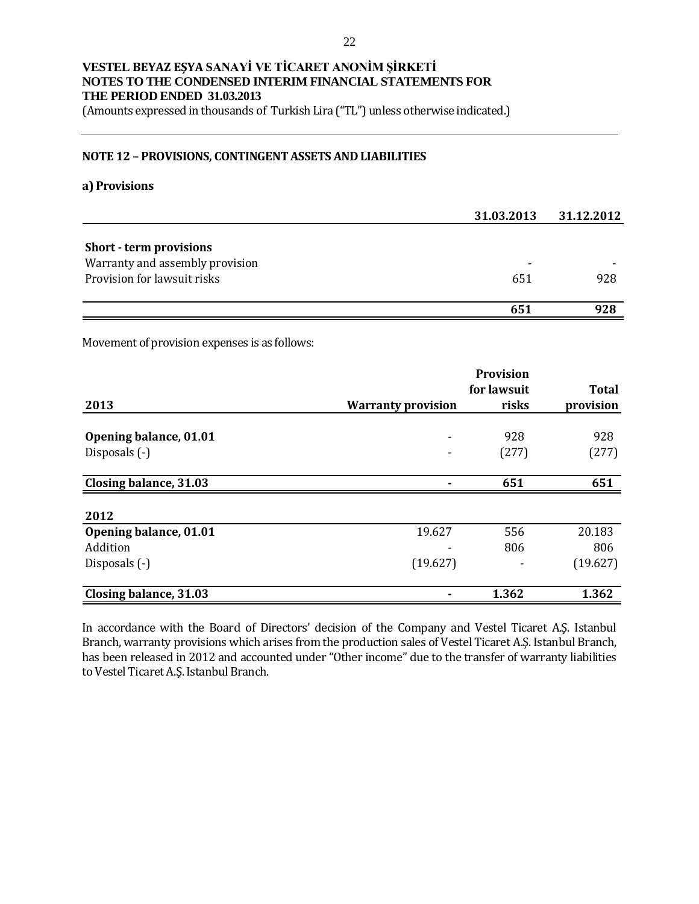(Amounts expressed in thousands of Turkish Lira ("TL") unless otherwise indicated.)

#### **NOTE 12 – PROVISIONS, CONTINGENT ASSETS AND LIABILITIES**

#### **a) Provisions**

|                                 | 31.03.2013 | 31.12.2012 |
|---------------------------------|------------|------------|
|                                 |            |            |
| <b>Short - term provisions</b>  |            |            |
| Warranty and assembly provision |            |            |
| Provision for lawsuit risks     | 651        | 928        |
|                                 | 651        | 928        |

Movement of provision expenses is as follows:

|                        |                           | for lawsuit | <b>Total</b> |
|------------------------|---------------------------|-------------|--------------|
| 2013                   | <b>Warranty provision</b> | risks       | provision    |
| Opening balance, 01.01 |                           | 928         | 928          |
| Disposals (-)          |                           | (277)       | (277)        |
| Closing balance, 31.03 |                           | 651         | 651          |
|                        |                           |             |              |
| 2012                   |                           |             |              |
| Opening balance, 01.01 | 19.627                    | 556         | 20.183       |
| Addition               |                           | 806         | 806          |
| Disposals (-)          | (19.627)                  |             | (19.627)     |
| Closing balance, 31.03 |                           | 1.362       | 1.362        |

In accordance with the Board of Directors' decision of the Company and Vestel Ticaret A.Ş. Istanbul Branch, warranty provisions which arises from the production sales of Vestel Ticaret A.Ş. Istanbul Branch, has been released in 2012 and accounted under "Other income" due to the transfer of warranty liabilities to Vestel Ticaret A.Ş. Istanbul Branch.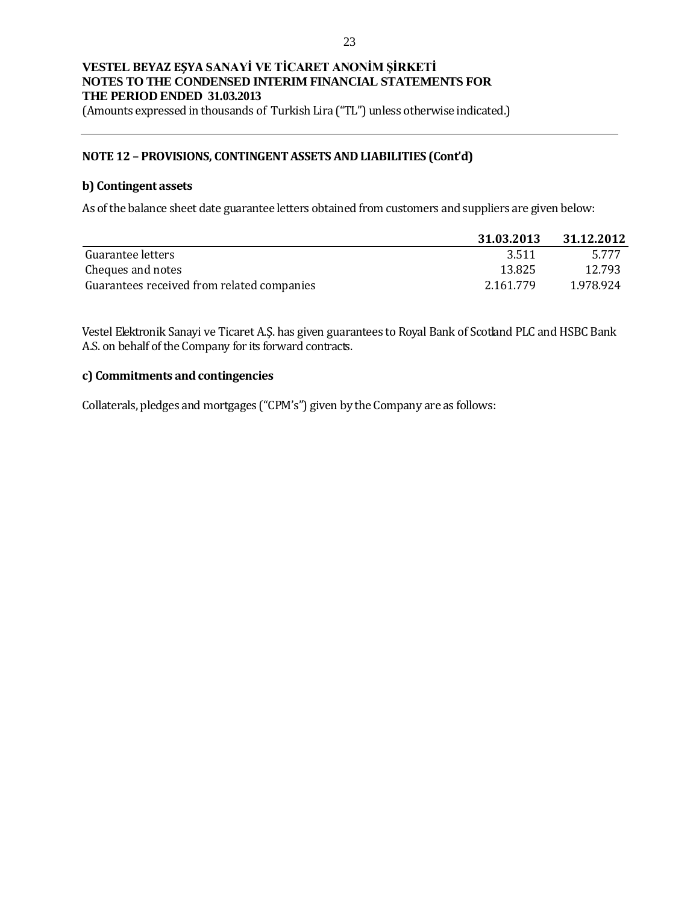(Amounts expressed in thousands of Turkish Lira ("TL") unless otherwise indicated.)

#### **NOTE 12 – PROVISIONS, CONTINGENT ASSETS AND LIABILITIES (Cont'd)**

#### **b) Contingent assets**

As of the balance sheet date guarantee letters obtained from customers and suppliers are given below:

|                                            | 31.03.2013 | 31.12.2012 |
|--------------------------------------------|------------|------------|
| Guarantee letters                          | 3.511      | 5.777      |
| Cheques and notes                          | 13.825     | 12.793     |
| Guarantees received from related companies | 2.161.779  | 1.978.924  |

Vestel Elektronik Sanayi ve Ticaret A.Ş. has given guarantees to Royal Bank of Scotland PLC and HSBC Bank A.S. on behalf of the Company for its forward contracts.

#### **c) Commitments and contingencies**

Collaterals, pledges and mortgages ("CPM's") given by the Company are as follows: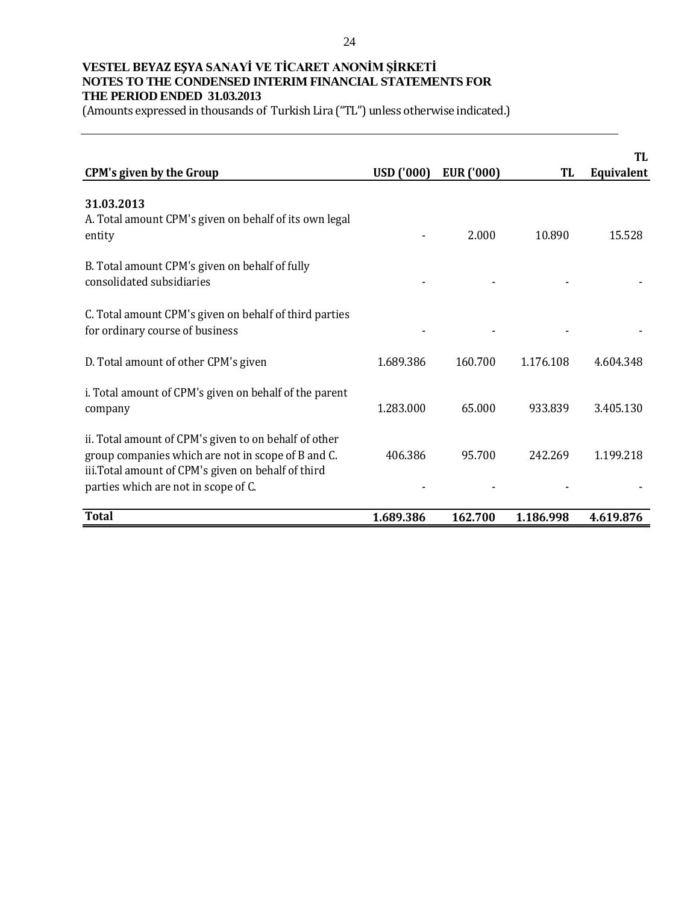(Amounts expressed in thousands of Turkish Lira ("TL") unless otherwise indicated.)

|                                                                                                                                                                                                            |                   |                   |           | TI.        |
|------------------------------------------------------------------------------------------------------------------------------------------------------------------------------------------------------------|-------------------|-------------------|-----------|------------|
| <b>CPM's given by the Group</b>                                                                                                                                                                            | <b>USD ('000)</b> | <b>EUR</b> ('000) | <b>TL</b> | Equivalent |
| 31.03.2013<br>A. Total amount CPM's given on behalf of its own legal<br>entity                                                                                                                             |                   | 2.000             | 10.890    | 15.528     |
| B. Total amount CPM's given on behalf of fully<br>consolidated subsidiaries                                                                                                                                |                   |                   |           |            |
| C. Total amount CPM's given on behalf of third parties<br>for ordinary course of business                                                                                                                  |                   |                   |           |            |
| D. Total amount of other CPM's given                                                                                                                                                                       | 1.689.386         | 160.700           | 1.176.108 | 4.604.348  |
| i. Total amount of CPM's given on behalf of the parent<br>company                                                                                                                                          | 1.283.000         | 65.000            | 933.839   | 3.405.130  |
| ii. Total amount of CPM's given to on behalf of other<br>group companies which are not in scope of B and C.<br>iii. Total amount of CPM's given on behalf of third<br>parties which are not in scope of C. | 406.386           | 95.700            | 242.269   | 1.199.218  |
| <b>Total</b>                                                                                                                                                                                               | 1.689.386         | 162.700           | 1.186.998 | 4.619.876  |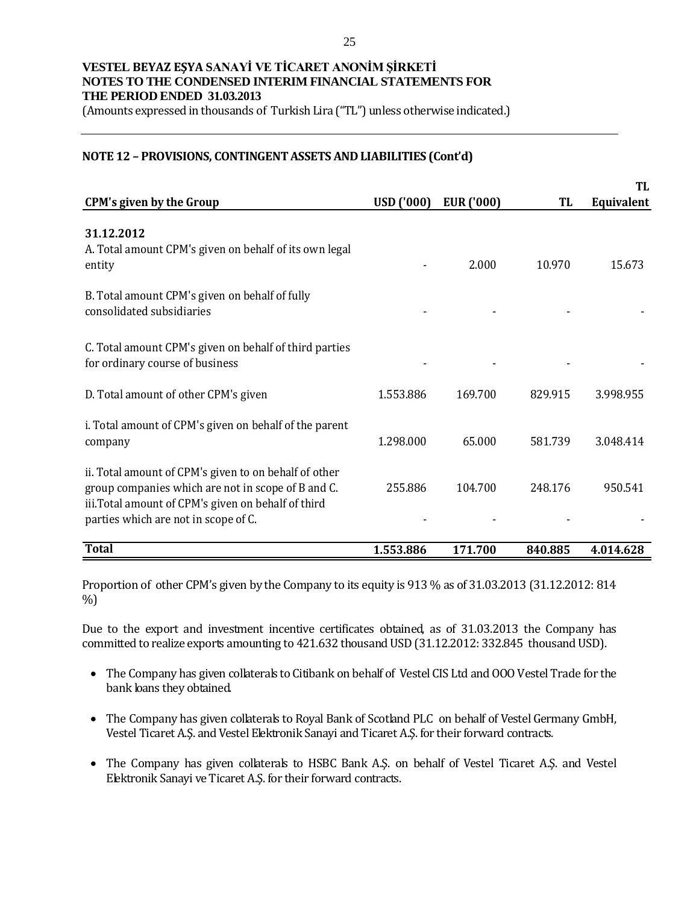(Amounts expressed in thousands of Turkish Lira ("TL") unless otherwise indicated.)

#### **NOTE 12 – PROVISIONS, CONTINGENT ASSETS AND LIABILITIES (Cont'd)**

|                                                                                                                                                                                                           |                   |                   |         | TL                |
|-----------------------------------------------------------------------------------------------------------------------------------------------------------------------------------------------------------|-------------------|-------------------|---------|-------------------|
| <b>CPM's given by the Group</b>                                                                                                                                                                           | <b>USD ('000)</b> | <b>EUR</b> ('000) | TL      | <b>Equivalent</b> |
| 31.12.2012<br>A. Total amount CPM's given on behalf of its own legal<br>entity                                                                                                                            |                   | 2.000             | 10.970  | 15.673            |
| B. Total amount CPM's given on behalf of fully<br>consolidated subsidiaries                                                                                                                               |                   |                   |         |                   |
| C. Total amount CPM's given on behalf of third parties<br>for ordinary course of business                                                                                                                 |                   |                   |         |                   |
| D. Total amount of other CPM's given                                                                                                                                                                      | 1.553.886         | 169.700           | 829.915 | 3.998.955         |
| i. Total amount of CPM's given on behalf of the parent<br>company                                                                                                                                         | 1.298.000         | 65.000            | 581.739 | 3.048.414         |
| ii. Total amount of CPM's given to on behalf of other<br>group companies which are not in scope of B and C.<br>iii.Total amount of CPM's given on behalf of third<br>parties which are not in scope of C. | 255.886           | 104.700           | 248.176 | 950.541           |
| <b>Total</b>                                                                                                                                                                                              | 1.553.886         | 171.700           | 840.885 | 4.014.628         |

Proportion of other CPM's given by the Company to its equity is 913 % as of 31.03.2013 (31.12.2012: 814 %)

Due to the export and investment incentive certificates obtained, as of 31.03.2013 the Company has committed to realize exports amounting to 421.632 thousand USD (31.12.2012: 332.845 thousand USD).

- The Company has given collaterals to Citibank on behalf of Vestel CIS Ltd and OOO Vestel Trade for the bank loans they obtained.
- The Company has given collaterals to Royal Bank of Scotland PLC on behalf of Vestel Germany GmbH, Vestel Ticaret A.Ş. and Vestel Elektronik Sanayi and Ticaret A.Ş. for their forward contracts.
- The Company has given collaterals to HSBC Bank A.Ş. on behalf of Vestel Ticaret A.Ş. and Vestel Elektronik Sanayi ve Ticaret A.Ş. for their forward contracts.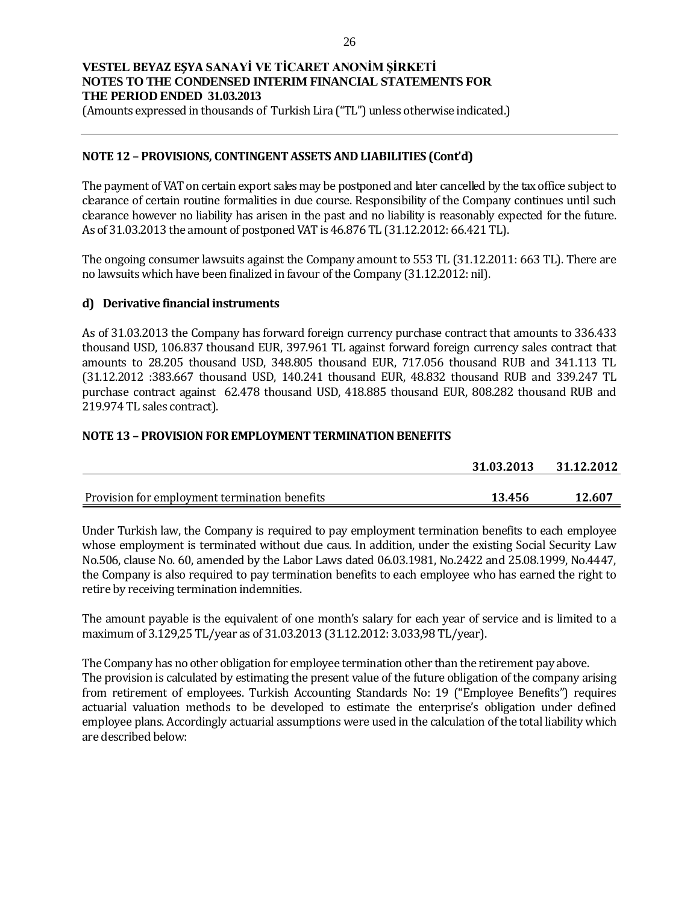(Amounts expressed in thousands of Turkish Lira ("TL") unless otherwise indicated.)

### **NOTE 12 – PROVISIONS, CONTINGENT ASSETS AND LIABILITIES (Cont'd)**

The payment of VAT on certain export sales may be postponed and later cancelled by the tax office subject to clearance of certain routine formalities in due course. Responsibility of the Company continues until such clearance however no liability has arisen in the past and no liability is reasonably expected for the future. As of 31.03.2013 the amount of postponed VAT is 46.876 TL (31.12.2012: 66.421 TL).

The ongoing consumer lawsuits against the Company amount to 553 TL (31.12.2011: 663 TL). There are no lawsuits which have been finalized in favour of the Company (31.12.2012: nil).

### **d) Derivative financial instruments**

As of 31.03.2013 the Company has forward foreign currency purchase contract that amounts to 336.433 thousand USD, 106.837 thousand EUR, 397.961 TL against forward foreign currency sales contract that amounts to 28.205 thousand USD, 348.805 thousand EUR, 717.056 thousand RUB and 341.113 TL (31.12.2012 :383.667 thousand USD, 140.241 thousand EUR, 48.832 thousand RUB and 339.247 TL purchase contract against 62.478 thousand USD, 418.885 thousand EUR, 808.282 thousand RUB and 219.974 TL sales contract).

### **NOTE 13 – PROVISION FOR EMPLOYMENT TERMINATION BENEFITS**

|                                               | 31.03.2013 | 31.12.2012 |
|-----------------------------------------------|------------|------------|
|                                               |            |            |
| Provision for employment termination benefits | 13.456     | 12.607     |

Under Turkish law, the Company is required to pay employment termination benefits to each employee whose employment is terminated without due caus. In addition, under the existing Social Security Law No.506, clause No. 60, amended by the Labor Laws dated 06.03.1981, No.2422 and 25.08.1999, No.4447, the Company is also required to pay termination benefits to each employee who has earned the right to retire by receiving termination indemnities.

The amount payable is the equivalent of one month's salary for each year of service and is limited to a maximum of 3.129,25 TL/year as of 31.03.2013 (31.12.2012: 3.033,98 TL/year).

The Company has no other obligation for employee termination other than the retirement pay above. The provision is calculated by estimating the present value of the future obligation of the company arising from retirement of employees. Turkish Accounting Standards No: 19 ("Employee Benefits") requires actuarial valuation methods to be developed to estimate the enterprise's obligation under defined employee plans. Accordingly actuarial assumptions were used in the calculation of the total liability which are described below: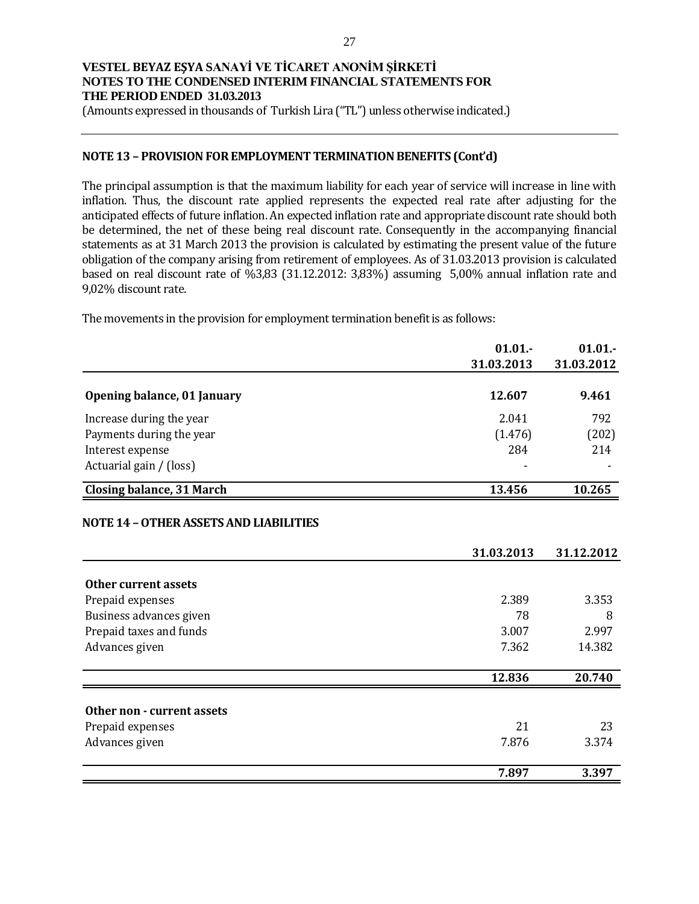(Amounts expressed in thousands of Turkish Lira ("TL") unless otherwise indicated.)

#### **NOTE 13 – PROVISION FOR EMPLOYMENT TERMINATION BENEFITS (Cont'd)**

The principal assumption is that the maximum liability for each year of service will increase in line with inflation. Thus, the discount rate applied represents the expected real rate after adjusting for the anticipated effects of future inflation. An expected inflation rate and appropriate discount rate should both be determined, the net of these being real discount rate. Consequently in the accompanying financial statements as at 31 March 2013 the provision is calculated by estimating the present value of the future obligation of the company arising from retirement of employees. As of 31.03.2013 provision is calculated based on real discount rate of %3,83 (31.12.2012: 3,83%) assuming 5,00% annual inflation rate and 9,02% discount rate.

The movements in the provision for employment termination benefit is as follows:

|                                               | 01.01.<br>31.03.2013 | 01.01.     |
|-----------------------------------------------|----------------------|------------|
|                                               |                      | 31.03.2012 |
| Opening balance, 01 January                   | 12.607               | 9.461      |
| Increase during the year                      | 2.041                | 792        |
| Payments during the year                      | (1.476)              | (202)      |
| Interest expense                              | 284                  | 214        |
| Actuarial gain / (loss)                       |                      |            |
| <b>Closing balance, 31 March</b>              | 13.456               | 10.265     |
| <b>NOTE 14 - OTHER ASSETS AND LIABILITIES</b> |                      |            |
|                                               |                      |            |
|                                               | 31.03.2013           | 31.12.2012 |
| Other current assets                          |                      |            |
| Prepaid expenses                              | 2.389                | 3.353      |
| Business advances given                       | 78                   | 8          |
| Prepaid taxes and funds                       | 3.007                | 2.997      |
| Advances given                                | 7.362                | 14.382     |
|                                               | 12.836               | 20.740     |
|                                               |                      |            |
| Other non - current assets                    |                      |            |
| Prepaid expenses                              | 21                   | 23         |
| Advances given                                | 7.876                | 3.374      |
|                                               | 7.897                | 3.397      |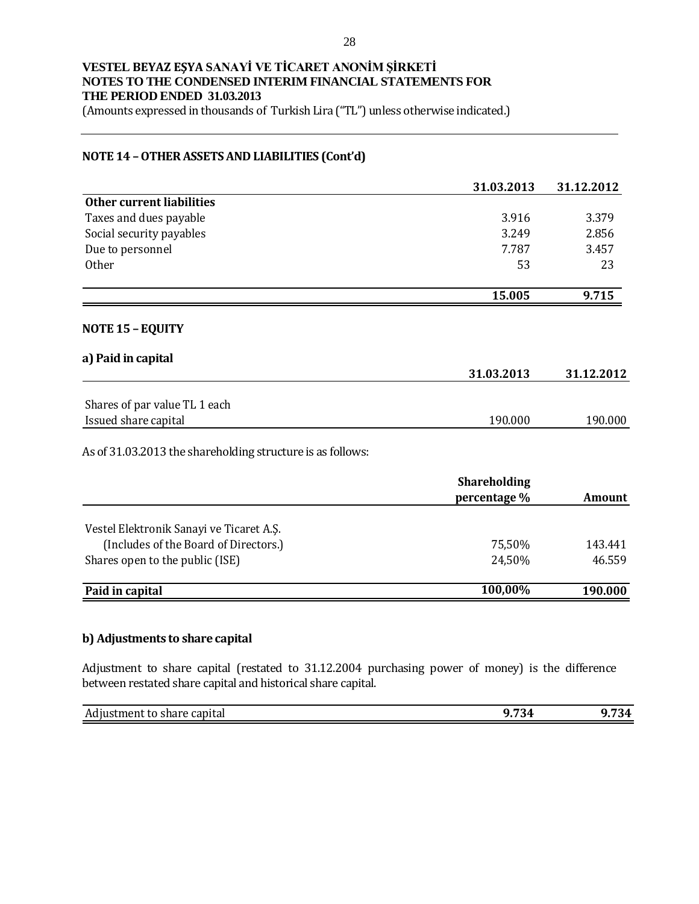(Amounts expressed in thousands of Turkish Lira ("TL") unless otherwise indicated.)

#### **NOTE 14 –OTHER ASSETS AND LIABILITIES (Cont'd)**

|                                                            | 31.03.2013          | 31.12.2012    |
|------------------------------------------------------------|---------------------|---------------|
| <b>Other current liabilities</b>                           |                     |               |
| Taxes and dues payable                                     | 3.916               | 3.379         |
| Social security payables                                   | 3.249               | 2.856         |
| Due to personnel                                           | 7.787               | 3.457         |
| Other                                                      | 53                  | 23            |
|                                                            | 15.005              | 9.715         |
| <b>NOTE 15 - EQUITY</b>                                    |                     |               |
| a) Paid in capital                                         | 31.03.2013          | 31.12.2012    |
|                                                            |                     |               |
| Shares of par value TL 1 each                              |                     |               |
| Issued share capital                                       | 190.000             | 190.000       |
| As of 31.03.2013 the shareholding structure is as follows: |                     |               |
|                                                            | <b>Shareholding</b> |               |
|                                                            | percentage %        | <b>Amount</b> |
| Vestel Elektronik Sanayi ve Ticaret A.Ş.                   |                     |               |
| (Includes of the Board of Directors.)                      | 75,50%              | 143.441       |
| Shares open to the public (ISE)                            | 24,50%              | 46.559        |
|                                                            |                     |               |

| Paid in capital | $,00\%$<br>100 |  |
|-----------------|----------------|--|
|                 |                |  |

#### **b) Adjustments to share capital**

Adjustment to share capital (restated to 31.12.2004 purchasing power of money) is the difference between restated share capital and historical share capital.

| ı<br>Ad<br>conito<br>---<br>NULL.<br>' Capita.<br>w<br>1110<br>. . | $-1$<br>_____ | $\sim$<br>$\sqrt{ }$<br>. |
|--------------------------------------------------------------------|---------------|---------------------------|
|                                                                    |               |                           |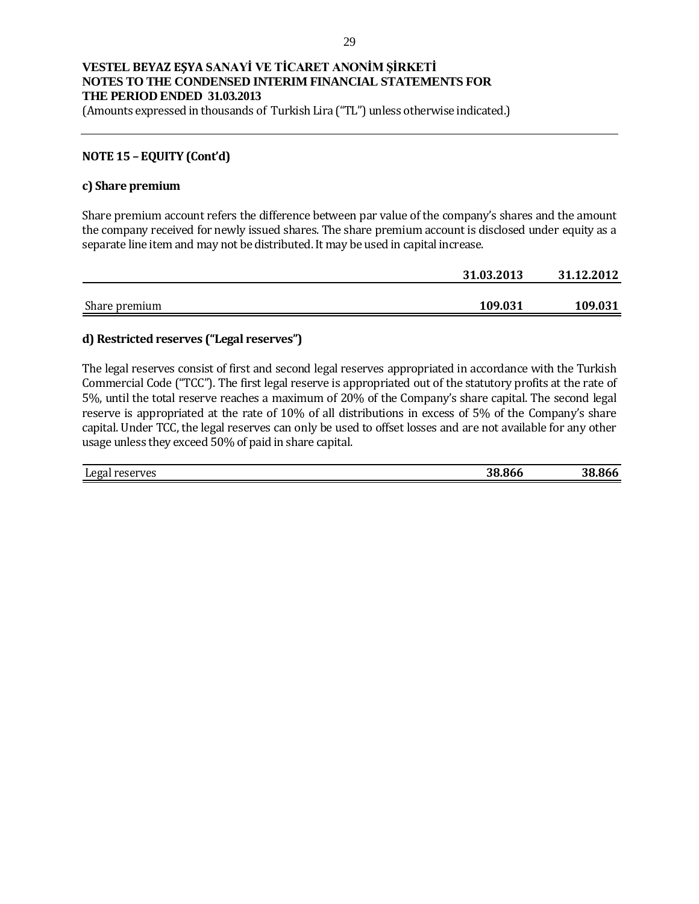(Amounts expressed in thousands of Turkish Lira ("TL") unless otherwise indicated.)

### **NOTE 15 – EQUITY (Cont'd)**

#### **c) Share premium**

Share premium account refers the difference between par value of the company's shares and the amount the company received for newly issued shares. The share premium account is disclosed under equity as a separate line item and may not be distributed. It may be used in capital increase.

|               | 31.03.2013 | 31.12.2012 |
|---------------|------------|------------|
|               |            |            |
| Share premium | 109.031    | 109.031    |

#### **d) Restricted reserves ("Legal reserves")**

The legal reserves consist of first and second legal reserves appropriated in accordance with the Turkish Commercial Code ("TCC"). The first legal reserve is appropriated out of the statutory profits at the rate of 5%, until the total reserve reaches a maximum of 20% of the Company's share capital. The second legal reserve is appropriated at the rate of 10% of all distributions in excess of 5% of the Company's share capital. Under TCC, the legal reserves can only be used to offset losses and are not available for any other usage unless they exceed 50% of paid in share capital.

| reserves | ---  | .   |
|----------|------|-----|
| Legal    | ີ ເ. | 38  |
|          | 86t. | გიი |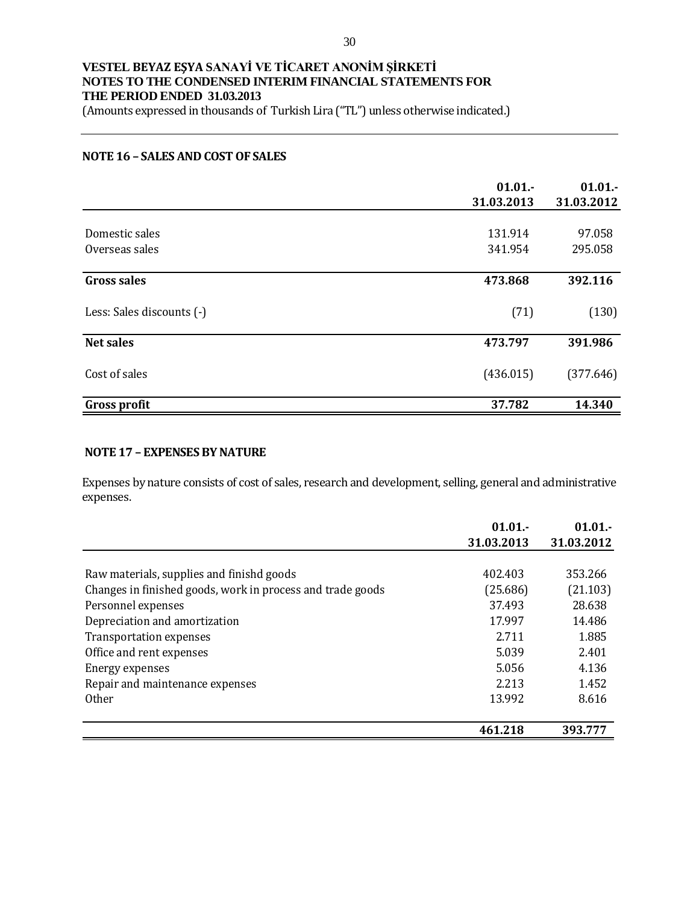(Amounts expressed in thousands of Turkish Lira ("TL") unless otherwise indicated.)

#### **NOTE 16 – SALES AND COST OF SALES**

|                                  | 01.01.<br>31.03.2013 | 01.01.<br>31.03.2012 |
|----------------------------------|----------------------|----------------------|
| Domestic sales<br>Overseas sales | 131.914<br>341.954   | 97.058<br>295.058    |
| <b>Gross sales</b>               | 473.868              | 392.116              |
| Less: Sales discounts (-)        | (71)                 | (130)                |
| <b>Net sales</b>                 | 473.797              | 391.986              |
| Cost of sales                    | (436.015)            | (377.646)            |
| <b>Gross profit</b>              | 37.782               | 14.340               |

### **NOTE 17 – EXPENSES BY NATURE**

Expenses by nature consists of cost of sales, research and development, selling, general and administrative expenses.

|                                                            | 01.01.     | 01.01.     |
|------------------------------------------------------------|------------|------------|
|                                                            | 31.03.2013 | 31.03.2012 |
|                                                            |            |            |
| Raw materials, supplies and finishd goods                  | 402.403    | 353.266    |
| Changes in finished goods, work in process and trade goods | (25.686)   | (21.103)   |
| Personnel expenses                                         | 37.493     | 28.638     |
| Depreciation and amortization                              | 17.997     | 14.486     |
| <b>Transportation expenses</b>                             | 2.711      | 1.885      |
| Office and rent expenses                                   | 5.039      | 2.401      |
| Energy expenses                                            | 5.056      | 4.136      |
| Repair and maintenance expenses                            | 2.213      | 1.452      |
| <b>Other</b>                                               | 13.992     | 8.616      |
|                                                            | 461.218    | 393.777    |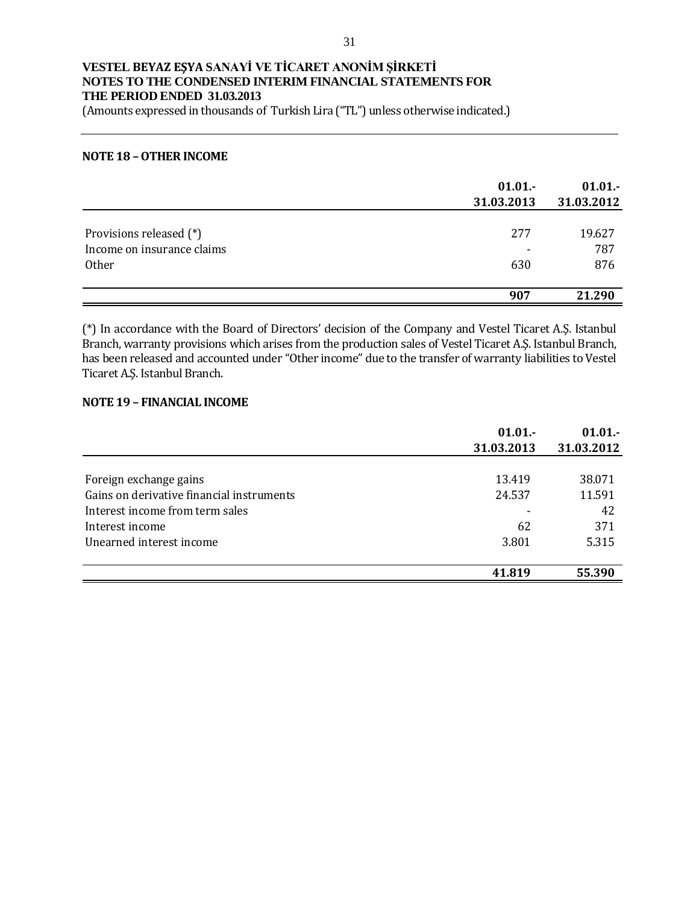(Amounts expressed in thousands of Turkish Lira ("TL") unless otherwise indicated.)

#### **NOTE 18 –OTHER INCOME**

|                                                       | 01.01.<br>31.03.2013 | 01.01.<br>31.03.2012 |
|-------------------------------------------------------|----------------------|----------------------|
| Provisions released (*)<br>Income on insurance claims | 277                  | 19.627<br>787        |
| <b>Other</b>                                          | 630                  | 876                  |
|                                                       | 907                  | 21.290               |

(\*) In accordance with the Board of Directors' decision of the Company and Vestel Ticaret A.Ş. Istanbul Branch, warranty provisions which arises from the production sales of Vestel Ticaret A.Ş. Istanbul Branch, has been released and accounted under "Other income" due to the transfer of warranty liabilities to Vestel Ticaret A.Ş. Istanbul Branch.

### **NOTE 19 – FINANCIAL INCOME**

|                                           | 01.01.<br>31.03.2013 | $01.01 -$<br>31.03.2012 |
|-------------------------------------------|----------------------|-------------------------|
| Foreign exchange gains                    | 13.419               | 38.071                  |
| Gains on derivative financial instruments | 24.537               | 11.591                  |
| Interest income from term sales           |                      | 42                      |
| Interest income                           | 62                   | 371                     |
| Unearned interest income                  | 3.801                | 5.315                   |
|                                           | 41.819               | 55.390                  |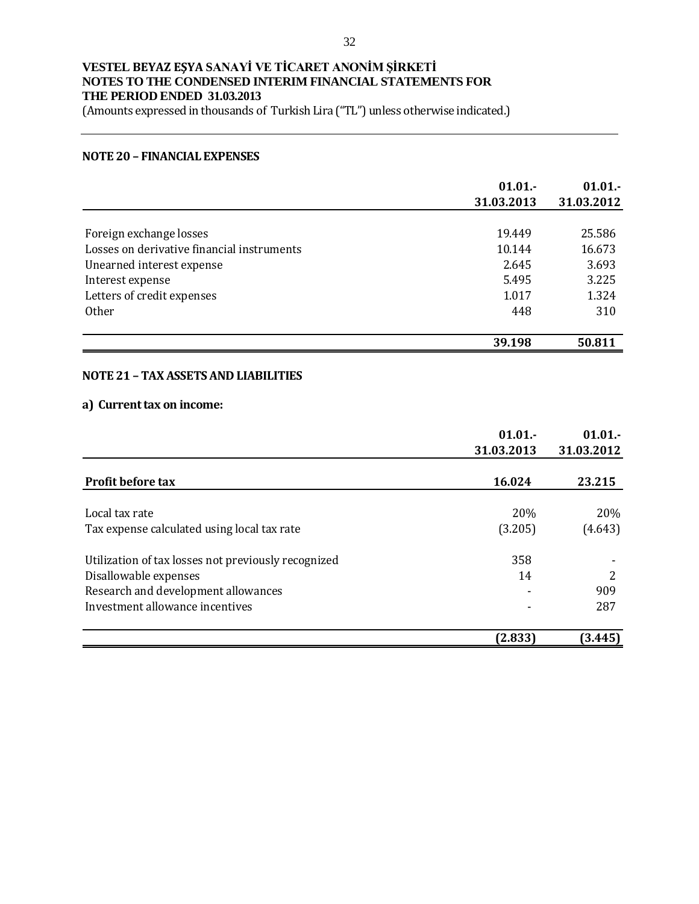(Amounts expressed in thousands of Turkish Lira ("TL") unless otherwise indicated.)

#### **NOTE 20 – FINANCIAL EXPENSES**

|                                            | 01.01.<br>31.03.2013 | 01.01.<br>31.03.2012 |
|--------------------------------------------|----------------------|----------------------|
|                                            |                      |                      |
| Foreign exchange losses                    | 19.449               | 25.586               |
| Losses on derivative financial instruments | 10.144               | 16.673               |
| Unearned interest expense                  | 2.645                | 3.693                |
| Interest expense                           | 5.495                | 3.225                |
| Letters of credit expenses                 | 1.017                | 1.324                |
| <b>Other</b>                               | 448                  | 310                  |
|                                            | 39.198               | 50.811               |

#### **NOTE 21 – TAX ASSETS AND LIABILITIES**

## **a) Current tax on income:**

|                                                     | 01.01.     | 01.01.     |
|-----------------------------------------------------|------------|------------|
|                                                     | 31.03.2013 | 31.03.2012 |
| <b>Profit before tax</b>                            | 16.024     | 23.215     |
| Local tax rate                                      | 20%        | 20%        |
| Tax expense calculated using local tax rate         | (3.205)    | (4.643)    |
| Utilization of tax losses not previously recognized | 358        |            |
| Disallowable expenses                               | 14         | 2          |
| Research and development allowances                 |            | 909        |
| Investment allowance incentives                     |            | 287        |
|                                                     | (2.833)    | (3.445)    |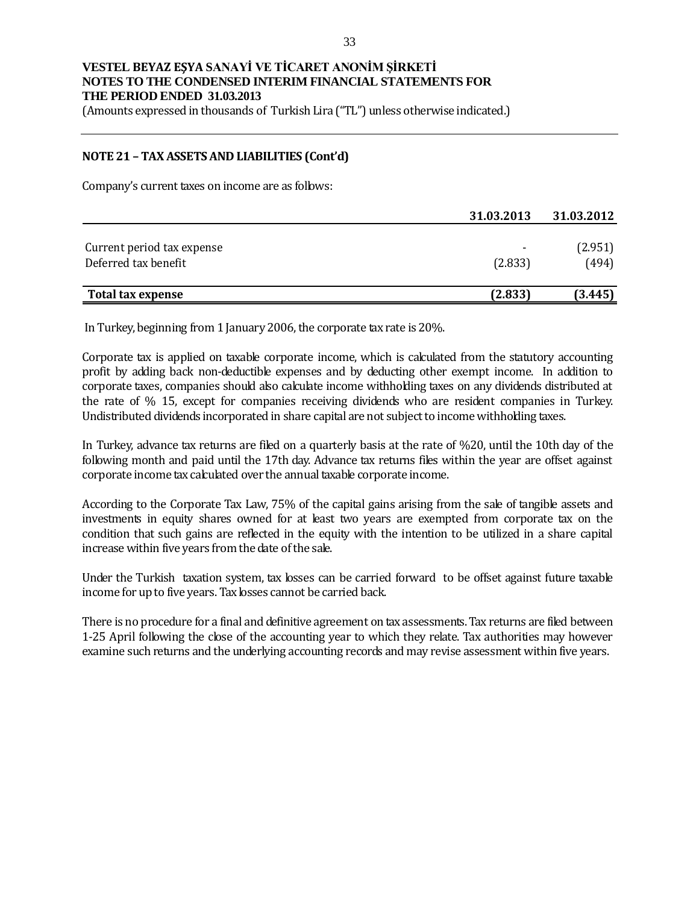(Amounts expressed in thousands of Turkish Lira ("TL") unless otherwise indicated.)

#### **NOTE 21 – TAX ASSETS AND LIABILITIES (Cont'd)**

Company's current taxes on income are as follows:

|                                                    | 31.03.2013 | 31.03.2012       |
|----------------------------------------------------|------------|------------------|
| Current period tax expense<br>Deferred tax benefit | (2.833)    | (2.951)<br>(494) |
| Total tax expense                                  | (2.833)    | (3.445)          |

In Turkey, beginning from 1 January 2006, the corporate tax rate is 20%.

Corporate tax is applied on taxable corporate income, which is calculated from the statutory accounting profit by adding back non-deductible expenses and by deducting other exempt income. In addition to corporate taxes, companies should also calculate income withholding taxes on any dividends distributed at the rate of % 15, except for companies receiving dividends who are resident companies in Turkey. Undistributed dividends incorporated in share capital are not subject to income withholding taxes.

In Turkey, advance tax returns are filed on a quarterly basis at the rate of %20, until the 10th day of the following month and paid until the 17th day. Advance tax returns files within the year are offset against corporate income tax calculated over the annual taxable corporate income.

According to the Corporate Tax Law, 75% of the capital gains arising from the sale of tangible assets and investments in equity shares owned for at least two years are exempted from corporate tax on the condition that such gains are reflected in the equity with the intention to be utilized in a share capital increase within five years from the date of the sale.

Under the Turkish taxation system, tax losses can be carried forward to be offset against future taxable income for up to five years. Tax losses cannot be carried back.

There is no procedure for a final and definitive agreement on tax assessments. Tax returns are filed between 1-25 April following the close of the accounting year to which they relate. Tax authorities may however examine such returns and the underlying accounting records and may revise assessment within five years.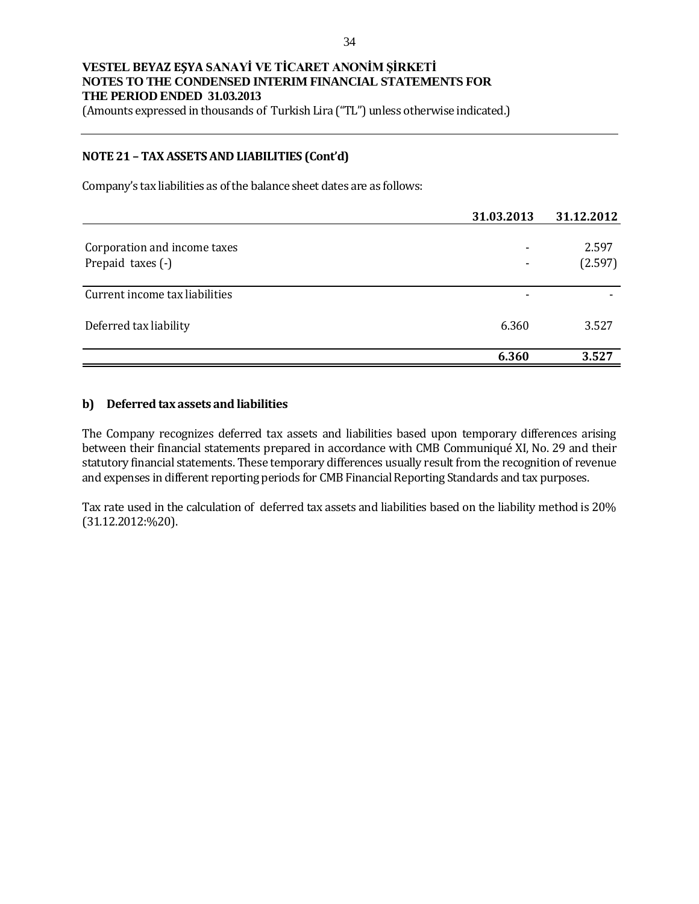(Amounts expressed in thousands of Turkish Lira ("TL") unless otherwise indicated.)

#### **NOTE 21 – TAX ASSETS AND LIABILITIES (Cont'd)**

Company's tax liabilities as of the balance sheet dates are as follows:

|                                | 31.03.2013 | 31.12.2012 |
|--------------------------------|------------|------------|
|                                |            |            |
| Corporation and income taxes   |            | 2.597      |
| Prepaid taxes (-)              |            | (2.597)    |
|                                |            |            |
| Current income tax liabilities | -          |            |
| Deferred tax liability         | 6.360      | 3.527      |
|                                | 6.360      | 3.527      |

#### **b) Deferred tax assets and liabilities**

The Company recognizes deferred tax assets and liabilities based upon temporary differences arising between their financial statements prepared in accordance with CMB Communiqué XI, No. 29 and their statutory financial statements. These temporary differences usually result from the recognition of revenue and expenses in different reporting periods for CMB Financial Reporting Standards and tax purposes.

Tax rate used in the calculation of deferred tax assets and liabilities based on the liability method is 20% (31.12.2012:%20).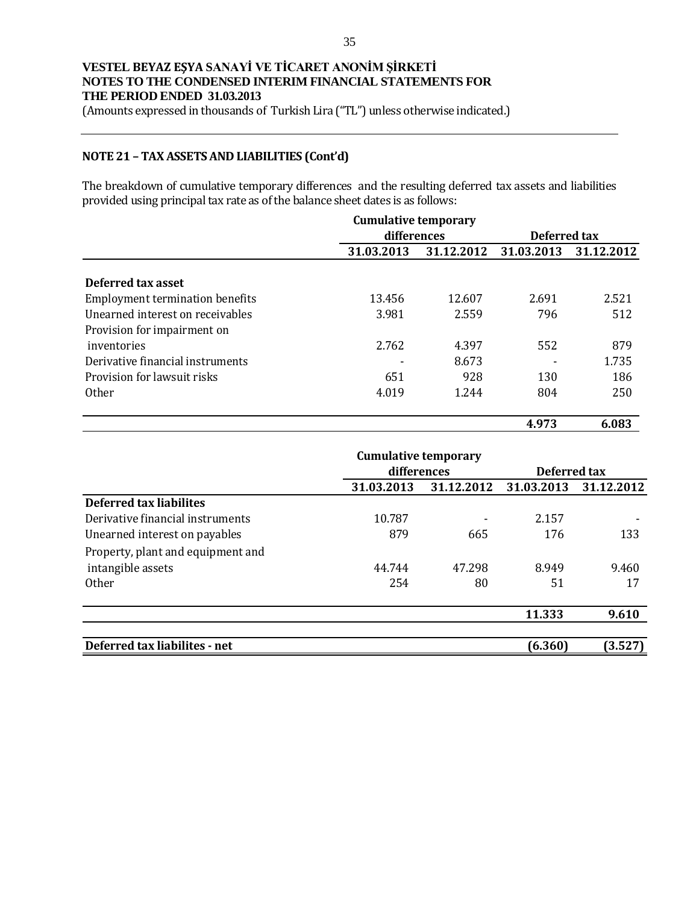(Amounts expressed in thousands of Turkish Lira ("TL") unless otherwise indicated.)

### **NOTE 21 – TAX ASSETS AND LIABILITIES (Cont'd)**

The breakdown of cumulative temporary differences and the resulting deferred tax assets and liabilities provided using principal tax rate as of the balance sheet dates is as follows:

|                                        | <b>Cumulative temporary</b> |            |              |            |
|----------------------------------------|-----------------------------|------------|--------------|------------|
|                                        | differences                 |            | Deferred tax |            |
|                                        | 31.03.2013                  | 31.12.2012 | 31.03.2013   | 31.12.2012 |
|                                        |                             |            |              |            |
| Deferred tax asset                     |                             |            |              |            |
| <b>Employment termination benefits</b> | 13.456                      | 12.607     | 2.691        | 2.521      |
| Unearned interest on receivables       | 3.981                       | 2.559      | 796          | 512        |
| Provision for impairment on            |                             |            |              |            |
| inventories                            | 2.762                       | 4.397      | 552          | 879        |
| Derivative financial instruments       |                             | 8.673      |              | 1.735      |
| Provision for lawsuit risks            | 651                         | 928        | 130          | 186        |
| <b>Other</b>                           | 4.019                       | 1.244      | 804          | 250        |
|                                        |                             |            | 4.973        | 6.083      |

|                                   | <b>Cumulative temporary</b> |             |            |              |
|-----------------------------------|-----------------------------|-------------|------------|--------------|
|                                   |                             | differences |            | Deferred tax |
|                                   | 31.03.2013                  | 31.12.2012  | 31.03.2013 | 31.12.2012   |
| <b>Deferred tax liabilites</b>    |                             |             |            |              |
| Derivative financial instruments  | 10.787                      |             | 2.157      |              |
| Unearned interest on payables     | 879                         | 665         | 176        | 133          |
| Property, plant and equipment and |                             |             |            |              |
| intangible assets                 | 44.744                      | 47.298      | 8.949      | 9.460        |
| <b>Other</b>                      | 254                         | 80          | 51         | 17           |
|                                   |                             |             | 11.333     | 9.610        |
| Deferred tax liabilites - net     |                             |             | (6.360)    | (3.527)      |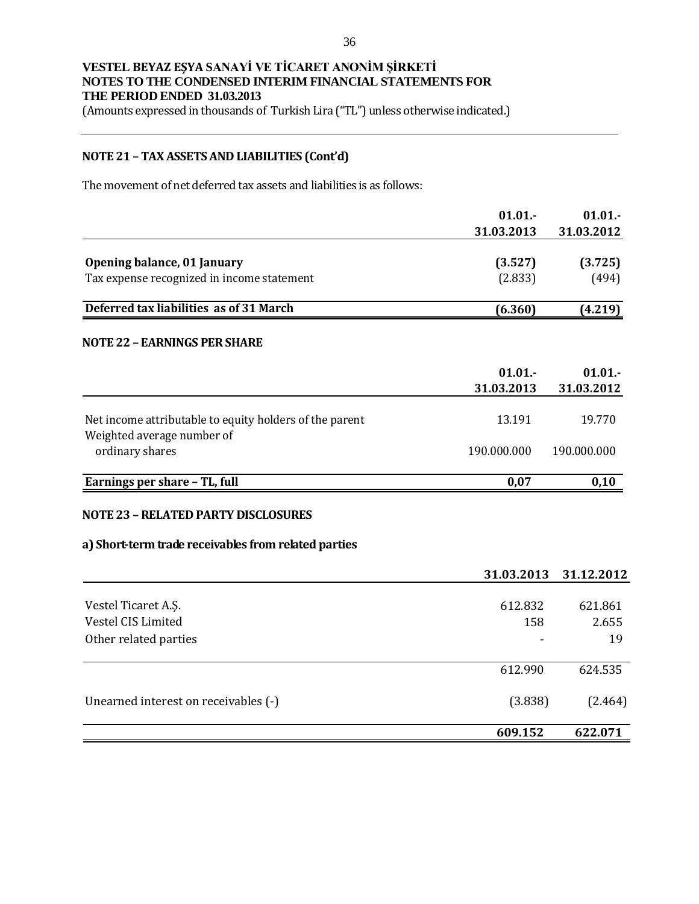(Amounts expressed in thousands of Turkish Lira ("TL") unless otherwise indicated.)

## **NOTE 21 – TAX ASSETS AND LIABILITIES (Cont'd)**

The movement of net deferred tax assets and liabilities is as follows:

|                                                                                       | 01.01.      | 01.01.      |
|---------------------------------------------------------------------------------------|-------------|-------------|
|                                                                                       | 31.03.2013  | 31.03.2012  |
| Opening balance, 01 January                                                           | (3.527)     | (3.725)     |
| Tax expense recognized in income statement                                            | (2.833)     | (494)       |
|                                                                                       |             |             |
| Deferred tax liabilities as of 31 March                                               | (6.360)     | (4.219)     |
| <b>NOTE 22 - EARNINGS PER SHARE</b>                                                   |             |             |
|                                                                                       | 01.01.      | 01.01.      |
|                                                                                       | 31.03.2013  | 31.03.2012  |
| Net income attributable to equity holders of the parent<br>Weighted average number of | 13.191      | 19.770      |
| ordinary shares                                                                       | 190.000.000 | 190.000.000 |
| Earnings per share - TL, full                                                         | 0,07        | 0,10        |
| <b>NOTE 23 - RELATED PARTY DISCLOSURES</b>                                            |             |             |
| a) Short-term trade receivables from related parties                                  |             |             |
|                                                                                       | 31.03.2013  | 31.12.2012  |
| Vestel Ticaret A.Ş.                                                                   | 612.832     | 621.861     |
| Vestel CIS Limited                                                                    | 158         | 2.655       |
| Other related parties                                                                 |             | 19          |
|                                                                                       | 612.990     | 624.535     |
| Unearned interest on receivables (-)                                                  | (3.838)     | (2.464)     |
|                                                                                       | 609.152     | 622.071     |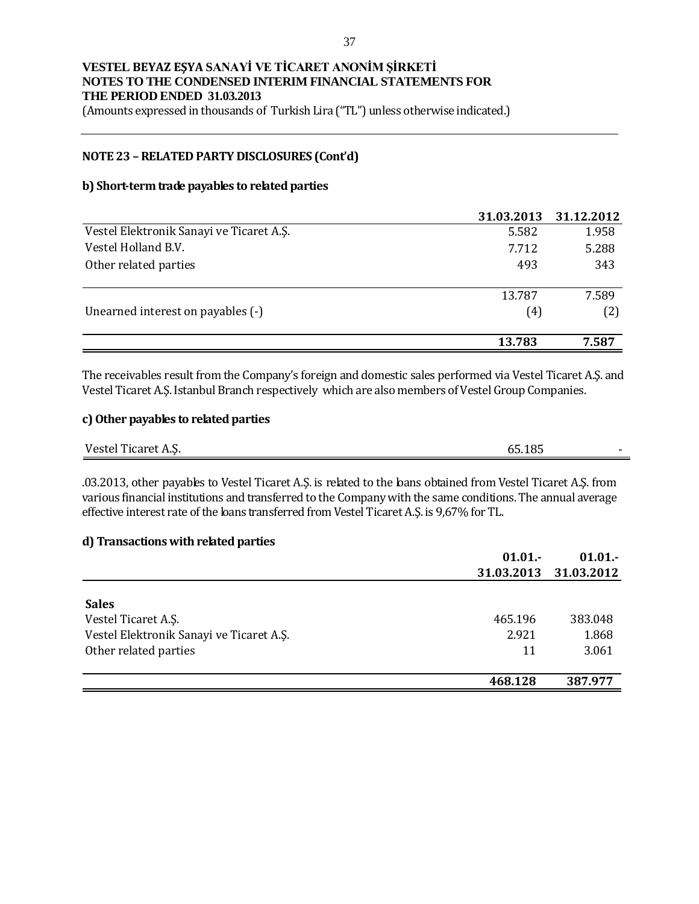(Amounts expressed in thousands of Turkish Lira ("TL") unless otherwise indicated.)

### **NOTE 23 – RELATED PARTY DISCLOSURES (Cont'd)**

#### **b) Short-term trade payables to related parties**

|                                          | 31.03.2013 | 31.12.2012 |
|------------------------------------------|------------|------------|
| Vestel Elektronik Sanayi ve Ticaret A.Ş. | 5.582      | 1.958      |
| Vestel Holland B.V.                      | 7.712      | 5.288      |
| Other related parties                    | 493        | 343        |
|                                          | 13.787     | 7.589      |
| Unearned interest on payables (-)        | (4)        | (2)        |
|                                          | 13.783     | 7.587      |

The receivables result from the Company's foreign and domestic sales performed via Vestel Ticaret A.Ş. and Vestel Ticaret A.Ş. Istanbul Branch respectively which are also members of Vestel Group Companies.

### **c) Other payables to related parties**

| $\mathbf{v}$<br>. . <del>. .</del><br>Vestel<br>$\sim$ corpor $\mu$<br>'i icaret<br>. | AA<br>$\sim$<br><b>J.LUJ</b> |  |
|---------------------------------------------------------------------------------------|------------------------------|--|
|                                                                                       |                              |  |

.03.2013, other payables to Vestel Ticaret A.Ş. is related to the loans obtained from Vestel Ticaret A.Ş. from various financial institutions and transferred to the Company with the same conditions. The annual average effective interest rate of the loans transferred from Vestel Ticaret A.Ş. is 9,67% for TL.

#### **d) Transactions with related parties**

|                                          | $01.01 -$  | $01.01 -$  |
|------------------------------------------|------------|------------|
|                                          | 31.03.2013 | 31.03.2012 |
|                                          |            |            |
| <b>Sales</b>                             |            |            |
| Vestel Ticaret A.S.                      | 465.196    | 383.048    |
| Vestel Elektronik Sanayi ve Ticaret A.Ş. | 2.921      | 1.868      |
| Other related parties                    | 11         | 3.061      |
|                                          |            |            |
|                                          | 468.128    | 387.977    |
|                                          |            |            |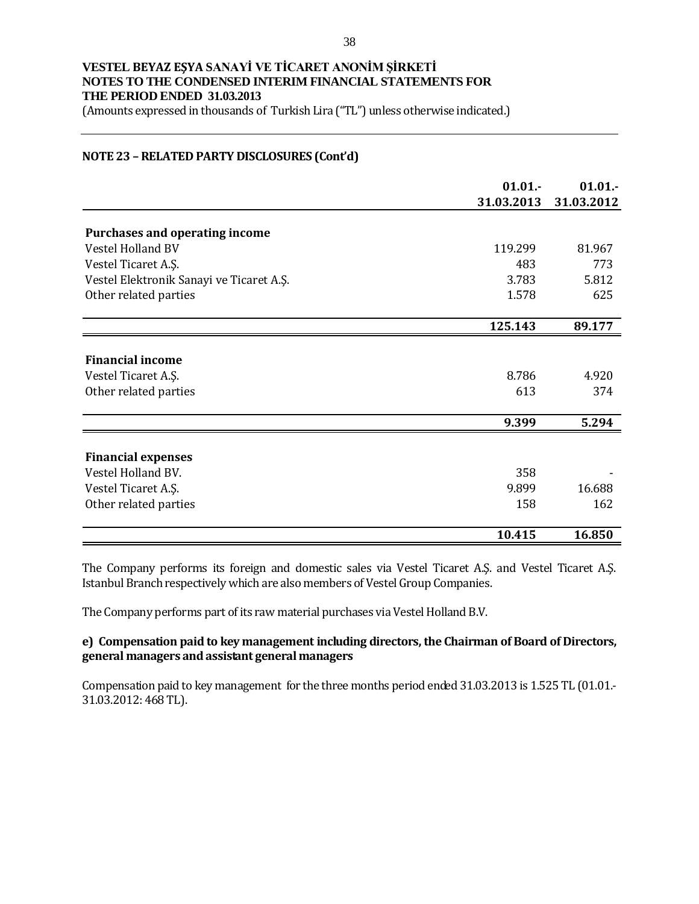(Amounts expressed in thousands of Turkish Lira ("TL") unless otherwise indicated.)

### **NOTE 23 – RELATED PARTY DISCLOSURES (Cont'd)**

|                                          | 01.01.     | 01.01.     |
|------------------------------------------|------------|------------|
|                                          | 31.03.2013 | 31.03.2012 |
|                                          |            |            |
| Purchases and operating income           |            |            |
| Vestel Holland BV                        | 119.299    | 81.967     |
| Vestel Ticaret A.Ş.                      | 483        | 773        |
| Vestel Elektronik Sanayi ve Ticaret A.Ş. | 3.783      | 5.812      |
| Other related parties                    | 1.578      | 625        |
|                                          |            |            |
|                                          | 125.143    | 89.177     |
|                                          |            |            |
| <b>Financial income</b>                  |            |            |
| Vestel Ticaret A.Ş.                      | 8.786      | 4.920      |
| Other related parties                    | 613        | 374        |
|                                          |            |            |
|                                          | 9.399      | 5.294      |
|                                          |            |            |
| <b>Financial expenses</b>                |            |            |
| Vestel Holland BV.                       | 358        |            |
| Vestel Ticaret A.Ş.                      | 9.899      | 16.688     |
| Other related parties                    | 158        | 162        |
|                                          |            |            |
|                                          | 10.415     | 16.850     |

The Company performs its foreign and domestic sales via Vestel Ticaret A.Ş. and Vestel Ticaret A.Ş. Istanbul Branch respectively which are also members of Vestel Group Companies.

The Company performs part of its raw material purchases via Vestel Holland B.V.

### **e) Compensation paid to key management including directors, the Chairman of Board of Directors, general managers and assistant general managers**

Compensation paid to key management for the three months period ended 31.03.2013 is 1.525 TL (01.01.- 31.03.2012: 468 TL).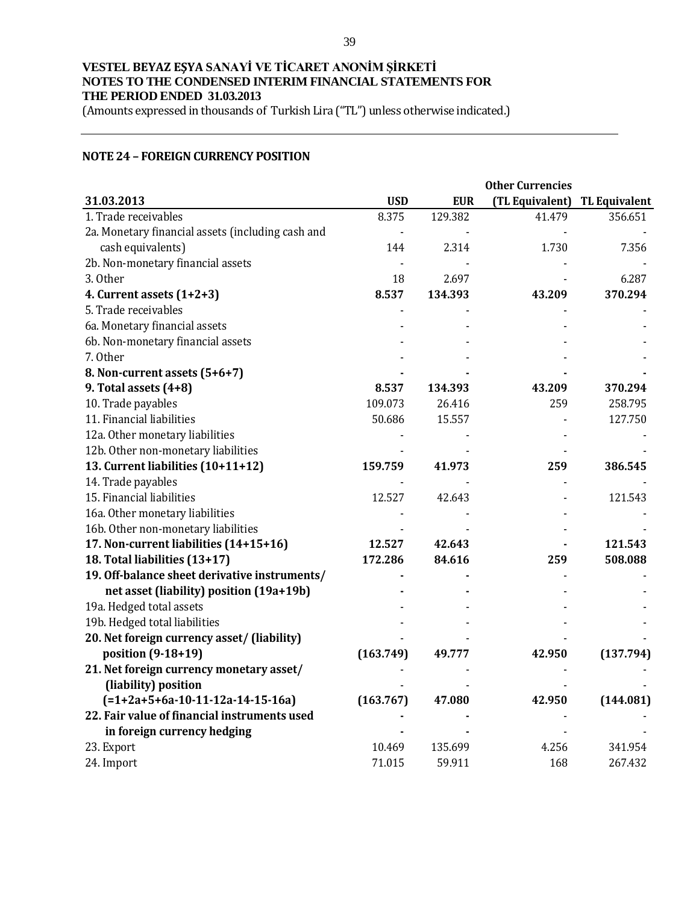(Amounts expressed in thousands of Turkish Lira ("TL") unless otherwise indicated.)

### **NOTE 24 – FOREIGN CURRENCY POSITION**

|                                                   | <b>Other Currencies</b> |            |                 |                      |  |
|---------------------------------------------------|-------------------------|------------|-----------------|----------------------|--|
| 31.03.2013                                        | <b>USD</b>              | <b>EUR</b> | (TL Equivalent) | <b>TL Equivalent</b> |  |
| 1. Trade receivables                              | 8.375                   | 129.382    | 41.479          | 356.651              |  |
| 2a. Monetary financial assets (including cash and |                         |            |                 |                      |  |
| cash equivalents)                                 | 144                     | 2.314      | 1.730           | 7.356                |  |
| 2b. Non-monetary financial assets                 |                         |            |                 |                      |  |
| 3. Other                                          | 18                      | 2.697      |                 | 6.287                |  |
| 4. Current assets $(1+2+3)$                       | 8.537                   | 134.393    | 43.209          | 370.294              |  |
| 5. Trade receivables                              |                         |            |                 |                      |  |
| 6a. Monetary financial assets                     |                         |            |                 |                      |  |
| 6b. Non-monetary financial assets                 |                         |            |                 |                      |  |
| 7. Other                                          |                         |            |                 |                      |  |
| 8. Non-current assets (5+6+7)                     |                         |            |                 |                      |  |
| 9. Total assets (4+8)                             | 8.537                   | 134.393    | 43.209          | 370.294              |  |
| 10. Trade payables                                | 109.073                 | 26.416     | 259             | 258.795              |  |
| 11. Financial liabilities                         | 50.686                  | 15.557     |                 | 127.750              |  |
| 12a. Other monetary liabilities                   |                         |            |                 |                      |  |
| 12b. Other non-monetary liabilities               |                         |            |                 |                      |  |
| 13. Current liabilities (10+11+12)                | 159.759                 | 41.973     | 259             | 386.545              |  |
| 14. Trade payables                                |                         |            |                 |                      |  |
| 15. Financial liabilities                         | 12.527                  | 42.643     |                 | 121.543              |  |
| 16a. Other monetary liabilities                   |                         |            |                 |                      |  |
| 16b. Other non-monetary liabilities               |                         |            |                 |                      |  |
| 17. Non-current liabilities (14+15+16)            | 12.527                  | 42.643     |                 | 121.543              |  |
| 18. Total liabilities (13+17)                     | 172.286                 | 84.616     | 259             | 508.088              |  |
| 19. Off-balance sheet derivative instruments/     |                         |            |                 |                      |  |
| net asset (liability) position (19a+19b)          |                         |            |                 |                      |  |
| 19a. Hedged total assets                          |                         |            |                 |                      |  |
| 19b. Hedged total liabilities                     |                         |            |                 |                      |  |
| 20. Net foreign currency asset/ (liability)       |                         |            |                 |                      |  |
| position (9-18+19)                                | (163.749)               | 49.777     | 42.950          | (137.794)            |  |
| 21. Net foreign currency monetary asset/          |                         |            |                 |                      |  |
| (liability) position                              |                         |            |                 |                      |  |
| $(=1+2a+5+6a-10-11-12a-14-15-16a)$                | (163.767)               | 47.080     | 42.950          | (144.081)            |  |
| 22. Fair value of financial instruments used      |                         |            |                 |                      |  |
| in foreign currency hedging                       |                         |            |                 |                      |  |
| 23. Export                                        | 10.469                  | 135.699    | 4.256           | 341.954              |  |
| 24. Import                                        | 71.015                  | 59.911     | 168             | 267.432              |  |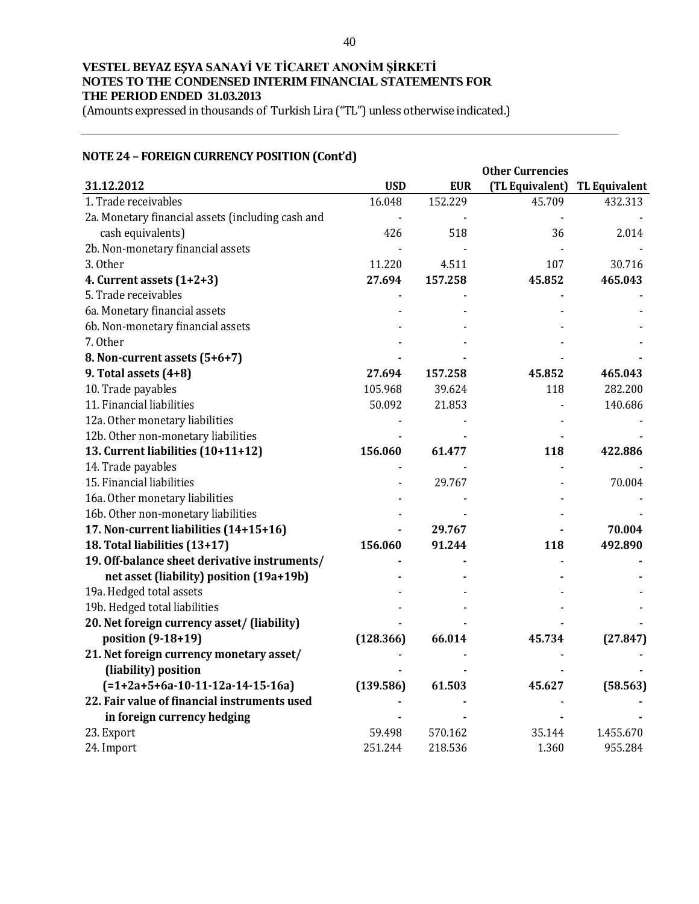(Amounts expressed in thousands of Turkish Lira ("TL") unless otherwise indicated.)

# **NOTE 24 – FOREIGN CURRENCY POSITION (Cont'd)**

|                                                   | <b>Other Currencies</b> |            |                 |                      |
|---------------------------------------------------|-------------------------|------------|-----------------|----------------------|
| 31.12.2012                                        | <b>USD</b>              | <b>EUR</b> | (TL Equivalent) | <b>TL Equivalent</b> |
| 1. Trade receivables                              | 16.048                  | 152.229    | 45.709          | 432.313              |
| 2a. Monetary financial assets (including cash and |                         |            |                 |                      |
| cash equivalents)                                 | 426                     | 518        | 36              | 2.014                |
| 2b. Non-monetary financial assets                 |                         |            |                 |                      |
| 3. Other                                          | 11.220                  | 4.511      | 107             | 30.716               |
| 4. Current assets $(1+2+3)$                       | 27.694                  | 157.258    | 45.852          | 465.043              |
| 5. Trade receivables                              |                         |            |                 |                      |
| 6a. Monetary financial assets                     |                         |            |                 |                      |
| 6b. Non-monetary financial assets                 |                         |            |                 |                      |
| 7. Other                                          |                         |            |                 |                      |
| 8. Non-current assets (5+6+7)                     |                         |            |                 |                      |
| 9. Total assets (4+8)                             | 27.694                  | 157.258    | 45.852          | 465.043              |
| 10. Trade payables                                | 105.968                 | 39.624     | 118             | 282.200              |
| 11. Financial liabilities                         | 50.092                  | 21.853     |                 | 140.686              |
| 12a. Other monetary liabilities                   |                         |            |                 |                      |
| 12b. Other non-monetary liabilities               |                         |            |                 |                      |
| 13. Current liabilities (10+11+12)                | 156.060                 | 61.477     | 118             | 422.886              |
| 14. Trade payables                                |                         |            |                 |                      |
| 15. Financial liabilities                         |                         | 29.767     |                 | 70.004               |
| 16a. Other monetary liabilities                   |                         |            |                 |                      |
| 16b. Other non-monetary liabilities               |                         |            |                 |                      |
| 17. Non-current liabilities (14+15+16)            |                         | 29.767     |                 | 70.004               |
| 18. Total liabilities (13+17)                     | 156.060                 | 91.244     | 118             | 492.890              |
| 19. Off-balance sheet derivative instruments/     |                         |            |                 |                      |
| net asset (liability) position (19a+19b)          |                         |            |                 |                      |
| 19a. Hedged total assets                          |                         |            |                 |                      |
| 19b. Hedged total liabilities                     |                         |            |                 |                      |
| 20. Net foreign currency asset/ (liability)       |                         |            |                 |                      |
| position (9-18+19)                                | (128.366)               | 66.014     | 45.734          | (27.847)             |
| 21. Net foreign currency monetary asset/          |                         |            |                 |                      |
| (liability) position                              |                         |            |                 |                      |
| $(=1+2a+5+6a-10-11-12a-14-15-16a)$                | (139.586)               | 61.503     | 45.627          | (58.563)             |
| 22. Fair value of financial instruments used      |                         |            |                 |                      |
| in foreign currency hedging                       |                         |            |                 |                      |
| 23. Export                                        | 59.498                  | 570.162    | 35.144          | 1.455.670            |
| 24. Import                                        | 251.244                 | 218.536    | 1.360           | 955.284              |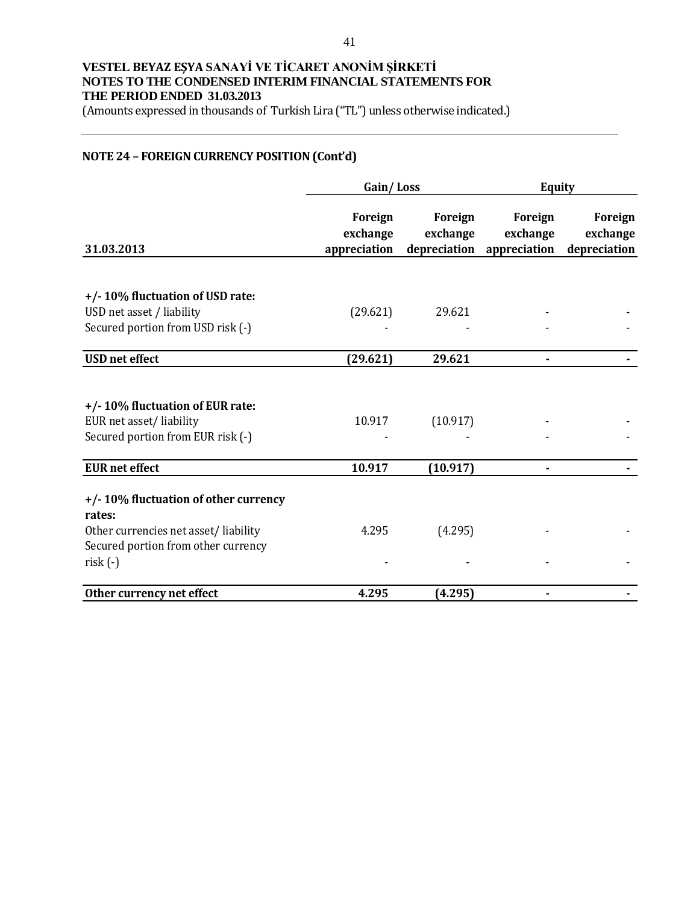(Amounts expressed in thousands of Turkish Lira ("TL") unless otherwise indicated.)

## **NOTE 24 – FOREIGN CURRENCY POSITION (Cont'd)**

|                                                                             | Gain/Loss                           |                                     | <b>Equity</b>                       |                                     |
|-----------------------------------------------------------------------------|-------------------------------------|-------------------------------------|-------------------------------------|-------------------------------------|
| 31.03.2013                                                                  | Foreign<br>exchange<br>appreciation | Foreign<br>exchange<br>depreciation | Foreign<br>exchange<br>appreciation | Foreign<br>exchange<br>depreciation |
|                                                                             |                                     |                                     |                                     |                                     |
| +/-10% fluctuation of USD rate:                                             |                                     |                                     |                                     |                                     |
| USD net asset / liability                                                   | (29.621)                            | 29.621                              |                                     |                                     |
| Secured portion from USD risk (-)                                           |                                     |                                     |                                     |                                     |
| <b>USD</b> net effect                                                       | (29.621)                            | 29.621                              | $\blacksquare$                      |                                     |
|                                                                             |                                     |                                     |                                     |                                     |
| +/-10% fluctuation of EUR rate:                                             |                                     |                                     |                                     |                                     |
| EUR net asset/liability                                                     | 10.917                              | (10.917)                            |                                     |                                     |
| Secured portion from EUR risk (-)                                           |                                     |                                     |                                     |                                     |
| <b>EUR</b> net effect                                                       | 10.917                              | (10.917)                            |                                     |                                     |
|                                                                             |                                     |                                     |                                     |                                     |
| +/-10% fluctuation of other currency                                        |                                     |                                     |                                     |                                     |
| rates:                                                                      | 4.295                               |                                     |                                     |                                     |
| Other currencies net asset/liability<br>Secured portion from other currency |                                     | (4.295)                             |                                     |                                     |
| $risk(-)$                                                                   |                                     |                                     |                                     |                                     |
|                                                                             |                                     |                                     |                                     |                                     |
| Other currency net effect                                                   | 4.295                               | (4.295)                             |                                     |                                     |